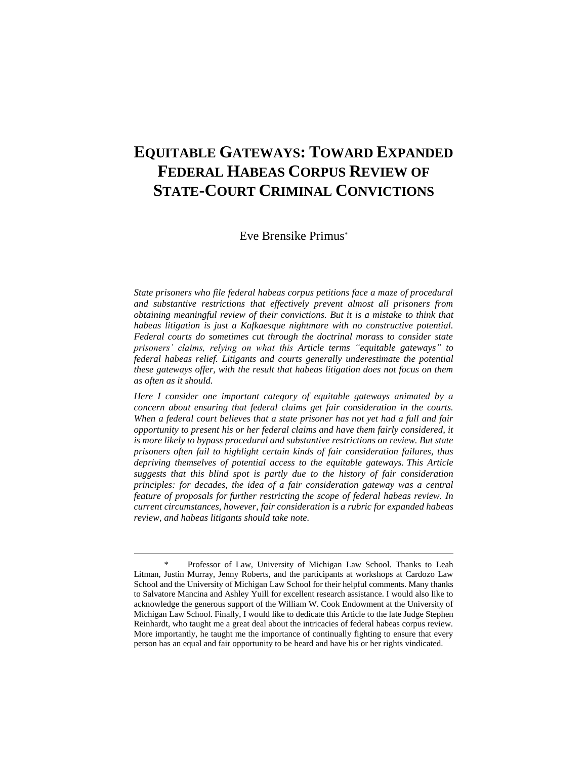# **EQUITABLE GATEWAYS: TOWARD EXPANDED FEDERAL HABEAS CORPUS REVIEW OF STATE-COURT CRIMINAL CONVICTIONS**

Eve Brensike Primus\*

*State prisoners who file federal habeas corpus petitions face a maze of procedural and substantive restrictions that effectively prevent almost all prisoners from obtaining meaningful review of their convictions. But it is a mistake to think that habeas litigation is just a Kafkaesque nightmare with no constructive potential. Federal courts do sometimes cut through the doctrinal morass to consider state prisoners' claims, relying on what this Article terms "equitable gateways" to federal habeas relief. Litigants and courts generally underestimate the potential these gateways offer, with the result that habeas litigation does not focus on them as often as it should.*

*Here I consider one important category of equitable gateways animated by a concern about ensuring that federal claims get fair consideration in the courts. When a federal court believes that a state prisoner has not yet had a full and fair opportunity to present his or her federal claims and have them fairly considered, it is more likely to bypass procedural and substantive restrictions on review. But state prisoners often fail to highlight certain kinds of fair consideration failures, thus depriving themselves of potential access to the equitable gateways. This Article suggests that this blind spot is partly due to the history of fair consideration principles: for decades, the idea of a fair consideration gateway was a central feature of proposals for further restricting the scope of federal habeas review. In current circumstances, however, fair consideration is a rubric for expanded habeas review, and habeas litigants should take note.*

<sup>\*</sup> Professor of Law, University of Michigan Law School. Thanks to Leah Litman, Justin Murray, Jenny Roberts, and the participants at workshops at Cardozo Law School and the University of Michigan Law School for their helpful comments. Many thanks to Salvatore Mancina and Ashley Yuill for excellent research assistance. I would also like to acknowledge the generous support of the William W. Cook Endowment at the University of Michigan Law School. Finally, I would like to dedicate this Article to the late Judge Stephen Reinhardt, who taught me a great deal about the intricacies of federal habeas corpus review. More importantly, he taught me the importance of continually fighting to ensure that every person has an equal and fair opportunity to be heard and have his or her rights vindicated.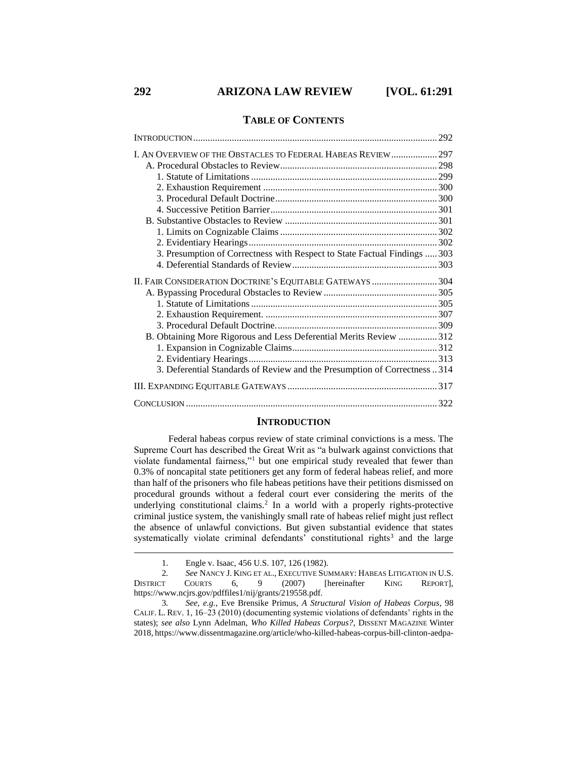## **TABLE OF CONTENTS**

| 3. Presumption of Correctness with Respect to State Factual Findings  303 |  |
|---------------------------------------------------------------------------|--|
|                                                                           |  |
| II. FAIR CONSIDERATION DOCTRINE'S EQUITABLE GATEWAYS  304                 |  |
|                                                                           |  |
|                                                                           |  |
|                                                                           |  |
|                                                                           |  |
| B. Obtaining More Rigorous and Less Deferential Merits Review 312         |  |
|                                                                           |  |
|                                                                           |  |
| 3. Deferential Standards of Review and the Presumption of Correctness 314 |  |
|                                                                           |  |
|                                                                           |  |

## <span id="page-1-1"></span><span id="page-1-0"></span>**INTRODUCTION**

Federal habeas corpus review of state criminal convictions is a mess. The Supreme Court has described the Great Writ as "a bulwark against convictions that violate fundamental fairness,"<sup>1</sup> but one empirical study revealed that fewer than 0.3% of noncapital state petitioners get any form of federal habeas relief, and more than half of the prisoners who file habeas petitions have their petitions dismissed on procedural grounds without a federal court ever considering the merits of the underlying constitutional claims.<sup>2</sup> In a world with a properly rights-protective criminal justice system, the vanishingly small rate of habeas relief might just reflect the absence of unlawful convictions. But given substantial evidence that states systematically violate criminal defendants' constitutional rights<sup>3</sup> and the large

<sup>1.</sup> Engle v. Isaac, 456 U.S. 107, 126 (1982).

<sup>2</sup>*. See* NANCY J. KING ET AL., EXECUTIVE SUMMARY: HABEAS LITIGATION IN U.S. DISTRICT COURTS 6, 9 (2007) [hereinafter KING REPORT], https://www.ncjrs.gov/pdffiles1/nij/grants/219558.pdf.

<sup>3</sup>*. See, e.g.*, Eve Brensike Primus, *A Structural Vision of Habeas Corpus*, 98 CALIF. L. REV. 1, 16–23 (2010) (documenting systemic violations of defendants' rights in the states); *see also* Lynn Adelman, *Who Killed Habeas Corpus?*, DISSENT MAGAZINE Winter 2018, https://www.dissentmagazine.org/article/who-killed-habeas-corpus-bill-clinton-aedpa-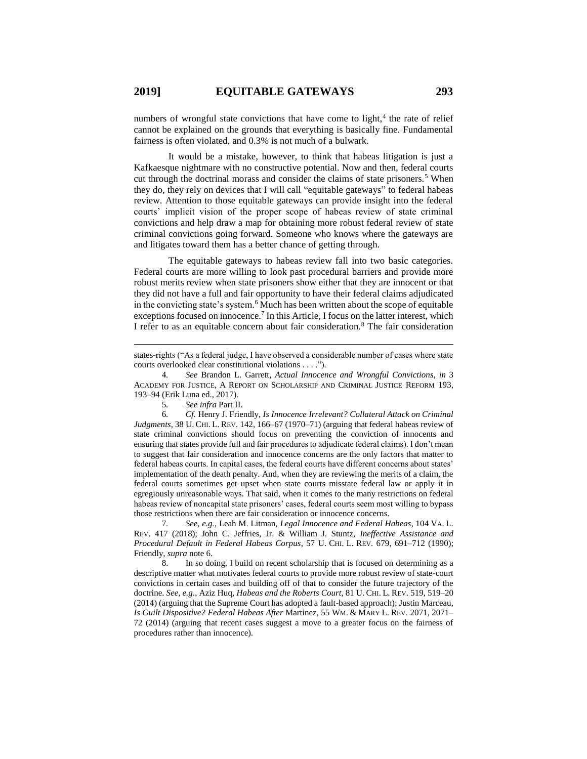numbers of wrongful state convictions that have come to light, $4$  the rate of relief cannot be explained on the grounds that everything is basically fine. Fundamental fairness is often violated, and 0.3% is not much of a bulwark.

It would be a mistake, however, to think that habeas litigation is just a Kafkaesque nightmare with no constructive potential. Now and then, federal courts cut through the doctrinal morass and consider the claims of state prisoners.<sup>5</sup> When they do, they rely on devices that I will call "equitable gateways" to federal habeas review. Attention to those equitable gateways can provide insight into the federal courts' implicit vision of the proper scope of habeas review of state criminal convictions and help draw a map for obtaining more robust federal review of state criminal convictions going forward. Someone who knows where the gateways are and litigates toward them has a better chance of getting through.

The equitable gateways to habeas review fall into two basic categories. Federal courts are more willing to look past procedural barriers and provide more robust merits review when state prisoners show either that they are innocent or that they did not have a full and fair opportunity to have their federal claims adjudicated in the convicting state's system.<sup>6</sup> Much has been written about the scope of equitable exceptions focused on innocence.<sup>7</sup> In this Article, I focus on the latter interest, which I refer to as an equitable concern about fair consideration.<sup>8</sup> The fair consideration

<span id="page-2-1"></span>5*. See infra* Part II.

<span id="page-2-0"></span> $\overline{a}$ 

6*. Cf.* Henry J. Friendly, *Is Innocence Irrelevant? Collateral Attack on Criminal Judgments*, 38 U. CHI. L. REV. 142, 166–67 (1970–71) (arguing that federal habeas review of state criminal convictions should focus on preventing the conviction of innocents and ensuring that states provide full and fair procedures to adjudicate federal claims). I don't mean to suggest that fair consideration and innocence concerns are the only factors that matter to federal habeas courts. In capital cases, the federal courts have different concerns about states' implementation of the death penalty. And, when they are reviewing the merits of a claim, the federal courts sometimes get upset when state courts misstate federal law or apply it in egregiously unreasonable ways. That said, when it comes to the many restrictions on federal habeas review of noncapital state prisoners' cases, federal courts seem most willing to bypass those restrictions when there are fair consideration or innocence concerns.

7*. See, e.g.*, Leah M. Litman, *Legal Innocence and Federal Habeas*, 104 VA. L. REV. 417 (2018); John C. Jeffries, Jr. & William J. Stuntz, *Ineffective Assistance and Procedural Default in Federal Habeas Corpus*, 57 U. CHI. L. REV. 679, 691–712 (1990); Friendly, *supra* note 6.

8. In so doing, I build on recent scholarship that is focused on determining as a descriptive matter what motivates federal courts to provide more robust review of state-court convictions in certain cases and building off of that to consider the future trajectory of the doctrine. *See, e.g.*, Aziz Huq, *Habeas and the Roberts Court*, 81 U. CHI. L. REV. 519, 519–20 (2014) (arguing that the Supreme Court has adopted a fault-based approach); Justin Marceau, *Is Guilt Dispositive? Federal Habeas After* Martinez, 55 WM. & MARY L. REV. 2071, 2071– 72 (2014) (arguing that recent cases suggest a move to a greater focus on the fairness of procedures rather than innocence).

states-rights ("As a federal judge, I have observed a considerable number of cases where state courts overlooked clear constitutional violations . . . .").

<sup>4</sup>*. See* Brandon L. Garrett, *Actual Innocence and Wrongful Convictions*, *in* 3 ACADEMY FOR JUSTICE, A REPORT ON SCHOLARSHIP AND CRIMINAL JUSTICE REFORM 193, 193–94 (Erik Luna ed., 2017).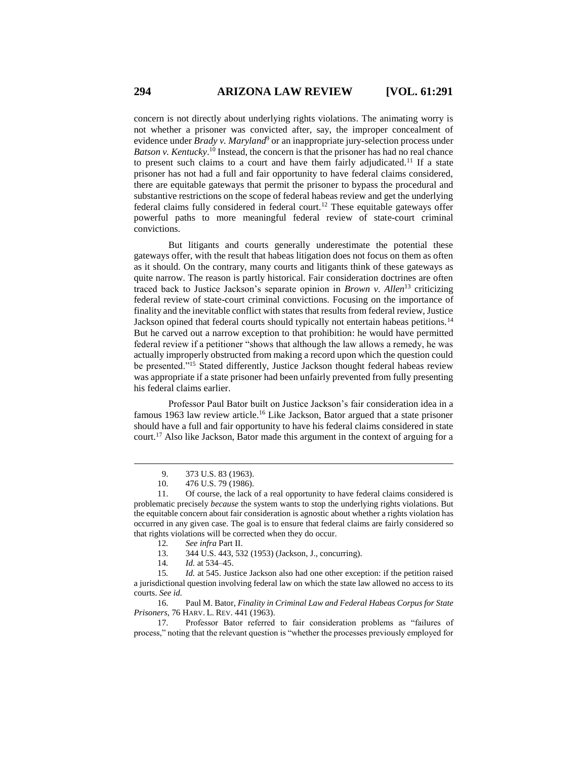concern is not directly about underlying rights violations. The animating worry is not whether a prisoner was convicted after, say, the improper concealment of evidence under *Brady v. Maryland*<sup>9</sup> or an inappropriate jury-selection process under *Batson v. Kentucky*. <sup>10</sup> Instead, the concern is that the prisoner has had no real chance to present such claims to a court and have them fairly adjudicated.<sup>11</sup> If a state prisoner has not had a full and fair opportunity to have federal claims considered, there are equitable gateways that permit the prisoner to bypass the procedural and substantive restrictions on the scope of federal habeas review and get the underlying federal claims fully considered in federal court.<sup>12</sup> These equitable gateways offer powerful paths to more meaningful federal review of state-court criminal convictions.

But litigants and courts generally underestimate the potential these gateways offer, with the result that habeas litigation does not focus on them as often as it should. On the contrary, many courts and litigants think of these gateways as quite narrow. The reason is partly historical. Fair consideration doctrines are often traced back to Justice Jackson's separate opinion in *Brown v. Allen*<sup>13</sup> criticizing federal review of state-court criminal convictions. Focusing on the importance of finality and the inevitable conflict with states that results from federal review, Justice Jackson opined that federal courts should typically not entertain habeas petitions.<sup>14</sup> But he carved out a narrow exception to that prohibition: he would have permitted federal review if a petitioner "shows that although the law allows a remedy, he was actually improperly obstructed from making a record upon which the question could be presented."<sup>15</sup> Stated differently, Justice Jackson thought federal habeas review was appropriate if a state prisoner had been unfairly prevented from fully presenting his federal claims earlier.

Professor Paul Bator built on Justice Jackson's fair consideration idea in a famous 1963 law review article.<sup>16</sup> Like Jackson, Bator argued that a state prisoner should have a full and fair opportunity to have his federal claims considered in state court.<sup>17</sup> Also like Jackson, Bator made this argument in the context of arguing for a

 $\overline{a}$ 

16. Paul M. Bator, *Finality in Criminal Law and Federal Habeas Corpus for State Prisoners*, 76 HARV. L. REV. 441 (1963).

17. Professor Bator referred to fair consideration problems as "failures of process," noting that the relevant question is "whether the processes previously employed for

<span id="page-3-0"></span><sup>9.</sup> 373 U.S. 83 (1963).

<sup>10.</sup> 476 U.S. 79 (1986).

<sup>11.</sup> Of course, the lack of a real opportunity to have federal claims considered is problematic precisely *because* the system wants to stop the underlying rights violations. But the equitable concern about fair consideration is agnostic about whether a rights violation has occurred in any given case. The goal is to ensure that federal claims are fairly considered so that rights violations will be corrected when they do occur.

<sup>12</sup>*. See infra* Part II.

<sup>13.</sup> 344 U.S. 443, 532 (1953) (Jackson, J., concurring).

<sup>14</sup>*. Id.* at 534–45.

<sup>15</sup>*. Id.* at 545. Justice Jackson also had one other exception: if the petition raised a jurisdictional question involving federal law on which the state law allowed no access to its courts. *See id.*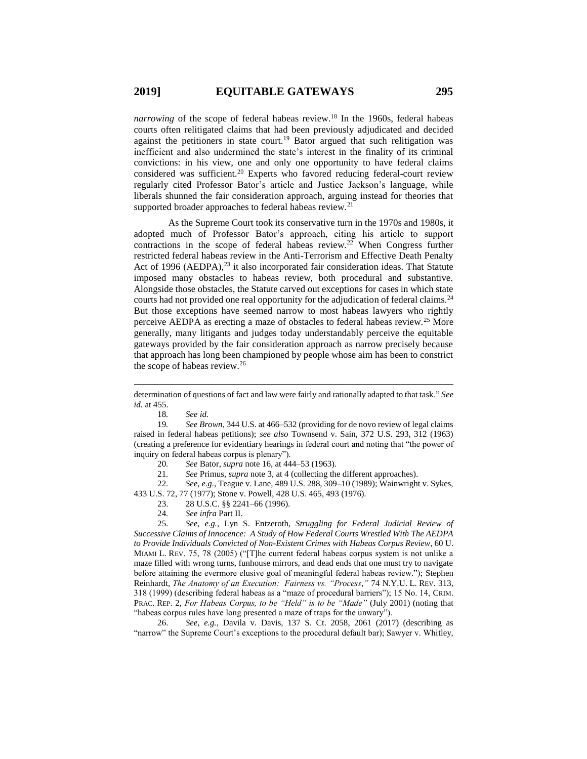*narrowing* of the scope of federal habeas review.<sup>18</sup> In the 1960s, federal habeas courts often relitigated claims that had been previously adjudicated and decided against the petitioners in state court.<sup>19</sup> Bator argued that such relitigation was inefficient and also undermined the state's interest in the finality of its criminal convictions: in his view, one and only one opportunity to have federal claims considered was sufficient.<sup>20</sup> Experts who favored reducing federal-court review regularly cited Professor Bator's article and Justice Jackson's language, while liberals shunned the fair consideration approach, arguing instead for theories that supported broader approaches to federal habeas review.<sup>21</sup>

As the Supreme Court took its conservative turn in the 1970s and 1980s, it adopted much of Professor Bator's approach, citing his article to support contractions in the scope of federal habeas review.<sup>22</sup> When Congress further restricted federal habeas review in the Anti-Terrorism and Effective Death Penalty Act of 1996 (AEDPA),<sup>23</sup> it also incorporated fair consideration ideas. That Statute imposed many obstacles to habeas review, both procedural and substantive. Alongside those obstacles, the Statute carved out exceptions for cases in which state courts had not provided one real opportunity for the adjudication of federal claims.<sup>24</sup> But those exceptions have seemed narrow to most habeas lawyers who rightly perceive AEDPA as erecting a maze of obstacles to federal habeas review.<sup>25</sup> More generally, many litigants and judges today understandably perceive the equitable gateways provided by the fair consideration approach as narrow precisely because that approach has long been championed by people whose aim has been to constrict the scope of habeas review.<sup>26</sup>

<span id="page-4-0"></span>18*. See id.*

 $\overline{a}$ 

20*. See* Bator, *supra* note 16, at 444–53 (1963).

21*. See* Primus, *supra* note [3,](#page-1-0) at 4 (collecting the different approaches).

22*. See, e.g.*, Teague v. Lane, 489 U.S. 288, 309–10 (1989); Wainwright v. Sykes, 433 U.S. 72, 77 (1977); Stone v. Powell, 428 U.S. 465, 493 (1976).

- 23. 28 U.S.C. §§ 2241–66 (1996).
- 24*. See infra* Part II.

25. *See, e.g.*, Lyn S. Entzeroth, *Struggling for Federal Judicial Review of Successive Claims of Innocence: A Study of How Federal Courts Wrestled With The AEDPA to Provide Individuals Convicted of Non-Existent Crimes with Habeas Corpus Review*, 60 U. MIAMI L. REV. 75, 78 (2005) ("[T]he current federal habeas corpus system is not unlike a maze filled with wrong turns, funhouse mirrors, and dead ends that one must try to navigate before attaining the evermore elusive goal of meaningful federal habeas review."); Stephen Reinhardt, *The Anatomy of an Execution: Fairness vs. "Process*,*"* 74 N.Y.U. L. REV. 313, 318 (1999) (describing federal habeas as a "maze of procedural barriers"); 15 No. 14, CRIM. PRAC. REP. 2, *For Habeas Corpus, to be "Held" is to be "Made"* (July 2001) (noting that "habeas corpus rules have long presented a maze of traps for the unwary").

26. *See, e.g.*, Davila v. Davis, 137 S. Ct. 2058, 2061 (2017) (describing as "narrow" the Supreme Court's exceptions to the procedural default bar); Sawyer v. Whitley,

determination of questions of fact and law were fairly and rationally adapted to that task." *See id.* at 455.

<sup>19</sup>*. See Brown*, 344 U.S. at 466–532 (providing for de novo review of legal claims raised in federal habeas petitions); *see also* Townsend v. Sain, 372 U.S. 293, 312 (1963) (creating a preference for evidentiary hearings in federal court and noting that "the power of inquiry on federal habeas corpus is plenary").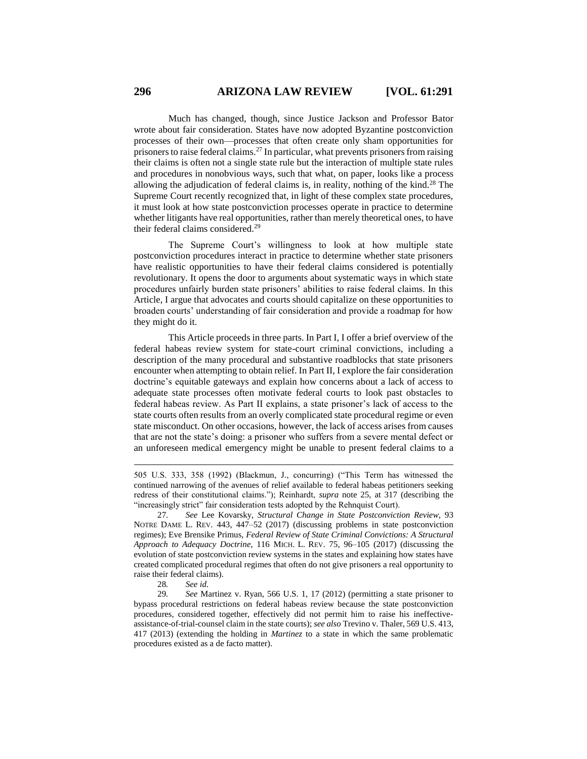<span id="page-5-0"></span>Much has changed, though, since Justice Jackson and Professor Bator wrote about fair consideration. States have now adopted Byzantine postconviction processes of their own—processes that often create only sham opportunities for prisoners to raise federal claims.<sup>27</sup> In particular, what prevents prisoners from raising their claims is often not a single state rule but the interaction of multiple state rules and procedures in nonobvious ways, such that what, on paper, looks like a process allowing the adjudication of federal claims is, in reality, nothing of the kind.<sup>28</sup> The Supreme Court recently recognized that, in light of these complex state procedures, it must look at how state postconviction processes operate in practice to determine whether litigants have real opportunities, rather than merely theoretical ones, to have their federal claims considered.<sup>29</sup>

The Supreme Court's willingness to look at how multiple state postconviction procedures interact in practice to determine whether state prisoners have realistic opportunities to have their federal claims considered is potentially revolutionary. It opens the door to arguments about systematic ways in which state procedures unfairly burden state prisoners' abilities to raise federal claims. In this Article, I argue that advocates and courts should capitalize on these opportunities to broaden courts' understanding of fair consideration and provide a roadmap for how they might do it.

This Article proceeds in three parts. In Part I, I offer a brief overview of the federal habeas review system for state-court criminal convictions, including a description of the many procedural and substantive roadblocks that state prisoners encounter when attempting to obtain relief. In Part II, I explore the fair consideration doctrine's equitable gateways and explain how concerns about a lack of access to adequate state processes often motivate federal courts to look past obstacles to federal habeas review. As Part II explains, a state prisoner's lack of access to the state courts often results from an overly complicated state procedural regime or even state misconduct. On other occasions, however, the lack of access arises from causes that are not the state's doing: a prisoner who suffers from a severe mental defect or an unforeseen medical emergency might be unable to present federal claims to a

<sup>505</sup> U.S. 333, 358 (1992) (Blackmun, J., concurring) ("This Term has witnessed the continued narrowing of the avenues of relief available to federal habeas petitioners seeking redress of their constitutional claims."); Reinhardt, *supra* note [25,](#page-4-0) at 317 (describing the "increasingly strict" fair consideration tests adopted by the Rehnquist Court).

<sup>27</sup>*. See* Lee Kovarsky, *Structural Change in State Postconviction Review*, 93 NOTRE DAME L. REV. 443, 447–52 (2017) (discussing problems in state postconviction regimes); Eve Brensike Primus, *Federal Review of State Criminal Convictions: A Structural Approach to Adequacy Doctrine*, 116 MICH. L. REV. 75, 96–105 (2017) (discussing the evolution of state postconviction review systems in the states and explaining how states have created complicated procedural regimes that often do not give prisoners a real opportunity to raise their federal claims).

<sup>28</sup>*. See id.*

<sup>29</sup>*. See* Martinez v. Ryan, 566 U.S. 1, 17 (2012) (permitting a state prisoner to bypass procedural restrictions on federal habeas review because the state postconviction procedures, considered together, effectively did not permit him to raise his ineffectiveassistance-of-trial-counsel claim in the state courts); *see also* Trevino v. Thaler, 569 U.S. 413, 417 (2013) (extending the holding in *Martinez* to a state in which the same problematic procedures existed as a de facto matter).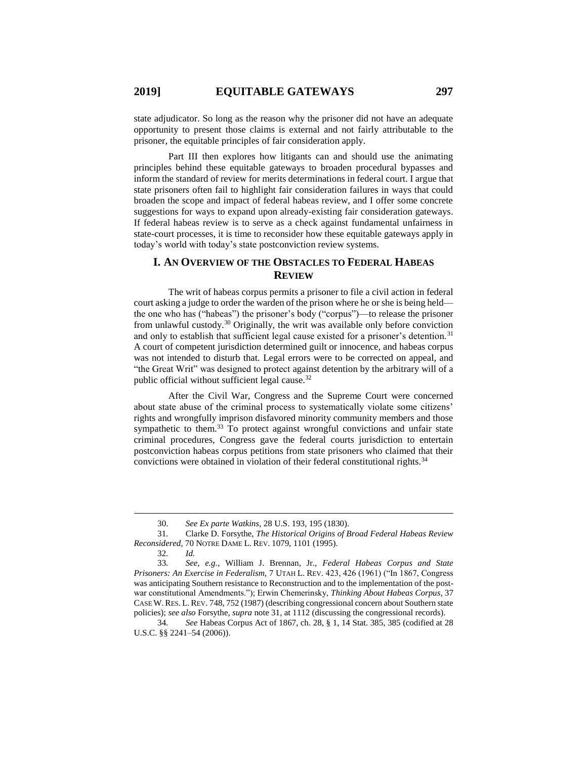state adjudicator. So long as the reason why the prisoner did not have an adequate opportunity to present those claims is external and not fairly attributable to the prisoner, the equitable principles of fair consideration apply.

Part III then explores how litigants can and should use the animating principles behind these equitable gateways to broaden procedural bypasses and inform the standard of review for merits determinations in federal court. I argue that state prisoners often fail to highlight fair consideration failures in ways that could broaden the scope and impact of federal habeas review, and I offer some concrete suggestions for ways to expand upon already-existing fair consideration gateways. If federal habeas review is to serve as a check against fundamental unfairness in state-court processes, it is time to reconsider how these equitable gateways apply in today's world with today's state postconviction review systems.

## <span id="page-6-0"></span>**I. AN OVERVIEW OF THE OBSTACLES TO FEDERAL HABEAS REVIEW**

The writ of habeas corpus permits a prisoner to file a civil action in federal court asking a judge to order the warden of the prison where he or she is being held the one who has ("habeas") the prisoner's body ("corpus")—to release the prisoner from unlawful custody.<sup>30</sup> Originally, the writ was available only before conviction and only to establish that sufficient legal cause existed for a prisoner's detention.<sup>31</sup> A court of competent jurisdiction determined guilt or innocence, and habeas corpus was not intended to disturb that. Legal errors were to be corrected on appeal, and "the Great Writ" was designed to protect against detention by the arbitrary will of a public official without sufficient legal cause.<sup>32</sup>

<span id="page-6-1"></span>After the Civil War, Congress and the Supreme Court were concerned about state abuse of the criminal process to systematically violate some citizens' rights and wrongfully imprison disfavored minority community members and those sympathetic to them.<sup>33</sup> To protect against wrongful convictions and unfair state criminal procedures, Congress gave the federal courts jurisdiction to entertain postconviction habeas corpus petitions from state prisoners who claimed that their convictions were obtained in violation of their federal constitutional rights.<sup>34</sup>

<sup>30.</sup> *See Ex parte Watkins*, 28 U.S. 193, 195 (1830).

<sup>31</sup>*.* Clarke D. Forsythe, *The Historical Origins of Broad Federal Habeas Review Reconsidered*, 70 NOTRE DAME L. REV. 1079, 1101 (1995).

<sup>32</sup>*. Id.*

<sup>33</sup>*. See, e.g.*, William J. Brennan, Jr., *Federal Habeas Corpus and State Prisoners: An Exercise in Federalism*, 7 UTAH L. REV. 423, 426 (1961) ("In 1867, Congress was anticipating Southern resistance to Reconstruction and to the implementation of the postwar constitutional Amendments."); Erwin Chemerinsky, *Thinking About Habeas Corpus*, 37 CASE W.RES. L.REV. 748, 752 (1987) (describing congressional concern about Southern state policies); *see also* Forsythe, *supra* note [31,](#page-6-0) at 1112 (discussing the congressional records).

<sup>34</sup>*. See* Habeas Corpus Act of 1867, ch. 28, § 1, 14 Stat. 385, 385 (codified at 28 U.S.C. §§ 2241–54 (2006)).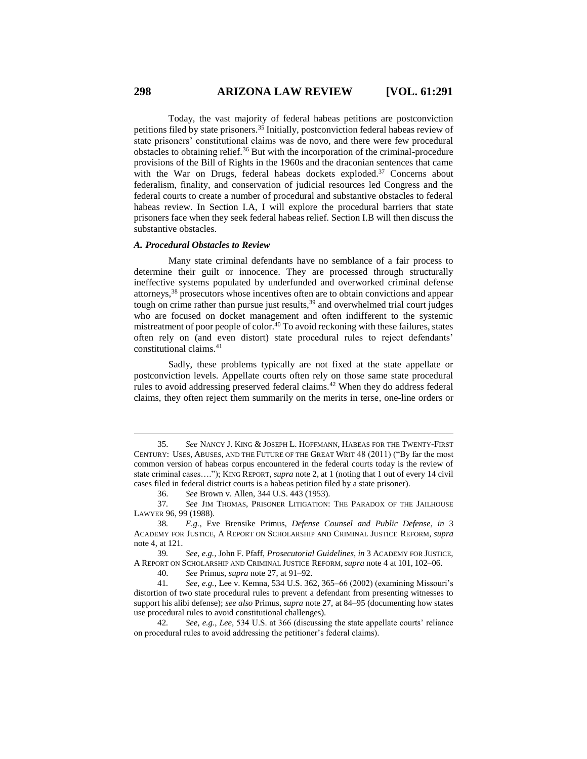Today, the vast majority of federal habeas petitions are postconviction petitions filed by state prisoners.<sup>35</sup> Initially, postconviction federal habeas review of state prisoners' constitutional claims was de novo, and there were few procedural obstacles to obtaining relief.<sup>36</sup> But with the incorporation of the criminal-procedure provisions of the Bill of Rights in the 1960s and the draconian sentences that came with the War on Drugs, federal habeas dockets exploded.<sup>37</sup> Concerns about federalism, finality, and conservation of judicial resources led Congress and the federal courts to create a number of procedural and substantive obstacles to federal habeas review. In Section I.A, I will explore the procedural barriers that state prisoners face when they seek federal habeas relief. Section I.B will then discuss the substantive obstacles.

#### *A. Procedural Obstacles to Review*

Many state criminal defendants have no semblance of a fair process to determine their guilt or innocence. They are processed through structurally ineffective systems populated by underfunded and overworked criminal defense attorneys,<sup>38</sup> prosecutors whose incentives often are to obtain convictions and appear tough on crime rather than pursue just results,<sup>39</sup> and overwhelmed trial court judges who are focused on docket management and often indifferent to the systemic mistreatment of poor people of color.<sup>40</sup> To avoid reckoning with these failures, states often rely on (and even distort) state procedural rules to reject defendants' constitutional claims.<sup>41</sup>

Sadly, these problems typically are not fixed at the state appellate or postconviction levels. Appellate courts often rely on those same state procedural rules to avoid addressing preserved federal claims.<sup>42</sup> When they do address federal claims, they often reject them summarily on the merits in terse, one-line orders or

40. *See* Primus, *supra* note [27,](#page-5-0) at 91–92.

41*. See, e.g.*, Lee v. Kemna, 534 U.S. 362, 365–66 (2002) (examining Missouri's distortion of two state procedural rules to prevent a defendant from presenting witnesses to support his alibi defense); *see also* Primus, *supra* not[e 27,](#page-5-0) at 84–95 (documenting how states use procedural rules to avoid constitutional challenges).

42*. See, e.g.*, *Lee*, 534 U.S. at 366 (discussing the state appellate courts' reliance on procedural rules to avoid addressing the petitioner's federal claims).

<sup>35.</sup> *See* NANCY J. KING & JOSEPH L. HOFFMANN, HABEAS FOR THE TWENTY-FIRST CENTURY: USES, ABUSES, AND THE FUTURE OF THE GREAT WRIT 48 (2011) ("By far the most common version of habeas corpus encountered in the federal courts today is the review of state criminal cases…."); KING REPORT, *supra* note [2,](#page-1-1) at 1 (noting that 1 out of every 14 civil cases filed in federal district courts is a habeas petition filed by a state prisoner).

<sup>36.</sup> *See* Brown v. Allen, 344 U.S. 443 (1953).

<sup>37</sup>*. See* JIM THOMAS, PRISONER LITIGATION: THE PARADOX OF THE JAILHOUSE LAWYER 96, 99 (1988).

<sup>38</sup>*. E.g.*, Eve Brensike Primus, *Defense Counsel and Public Defense*, *in* 3 ACADEMY FOR JUSTICE, A REPORT ON SCHOLARSHIP AND CRIMINAL JUSTICE REFORM, *supra*  note 4, at 121.

<sup>39</sup>*. See, e.g.*, John F. Pfaff, *Prosecutorial Guidelines*, *in* 3 ACADEMY FOR JUSTICE, A REPORT ON SCHOLARSHIP AND CRIMINAL JUSTICE REFORM, *supra* note 4 at 101, 102–06.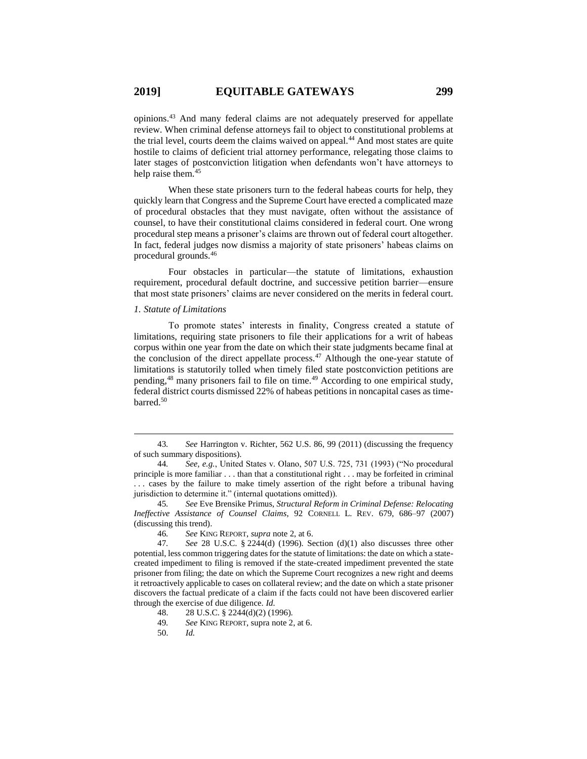opinions.<sup>43</sup> And many federal claims are not adequately preserved for appellate review. When criminal defense attorneys fail to object to constitutional problems at the trial level, courts deem the claims waived on appeal.<sup>44</sup> And most states are quite hostile to claims of deficient trial attorney performance, relegating those claims to later stages of postconviction litigation when defendants won't have attorneys to help raise them.<sup>45</sup>

When these state prisoners turn to the federal habeas courts for help, they quickly learn that Congress and the Supreme Court have erected a complicated maze of procedural obstacles that they must navigate, often without the assistance of counsel, to have their constitutional claims considered in federal court. One wrong procedural step means a prisoner's claims are thrown out of federal court altogether. In fact, federal judges now dismiss a majority of state prisoners' habeas claims on procedural grounds.<sup>46</sup>

Four obstacles in particular—the statute of limitations, exhaustion requirement, procedural default doctrine, and successive petition barrier—ensure that most state prisoners' claims are never considered on the merits in federal court.

#### *1. Statute of Limitations*

 $\overline{a}$ 

<span id="page-8-0"></span>To promote states' interests in finality, Congress created a statute of limitations, requiring state prisoners to file their applications for a writ of habeas corpus within one year from the date on which their state judgments became final at the conclusion of the direct appellate process.<sup>47</sup> Although the one-year statute of limitations is statutorily tolled when timely filed state postconviction petitions are pending,<sup>48</sup> many prisoners fail to file on time.<sup>49</sup> According to one empirical study, federal district courts dismissed 22% of habeas petitions in noncapital cases as timebarred.<sup>50</sup>

46*. See* KING REPORT, *supra* not[e 2,](#page-1-1) at 6.

50. *Id.*

<sup>43</sup>*. See* Harrington v. Richter, 562 U.S. 86, 99 (2011) (discussing the frequency of such summary dispositions).

<sup>44</sup>*. See, e.g.*, United States v. Olano, 507 U.S. 725, 731 (1993) ("No procedural principle is more familiar . . . than that a constitutional right . . . may be forfeited in criminal . . . cases by the failure to make timely assertion of the right before a tribunal having jurisdiction to determine it." (internal quotations omitted)).

<sup>45</sup>*. See* Eve Brensike Primus, *Structural Reform in Criminal Defense: Relocating Ineffective Assistance of Counsel Claims*, 92 CORNELL L. REV. 679, 686–97 (2007) (discussing this trend).

<sup>47</sup>*. See* 28 U.S.C. § 2244(d) (1996). Section (d)(1) also discusses three other potential, less common triggering dates for the statute of limitations: the date on which a statecreated impediment to filing is removed if the state-created impediment prevented the state prisoner from filing; the date on which the Supreme Court recognizes a new right and deems it retroactively applicable to cases on collateral review; and the date on which a state prisoner discovers the factual predicate of a claim if the facts could not have been discovered earlier through the exercise of due diligence. *Id.*

<sup>48.</sup> 28 U.S.C. § 2244(d)(2) (1996).

<sup>49</sup>*. See* KING REPORT, supra note 2, at 6.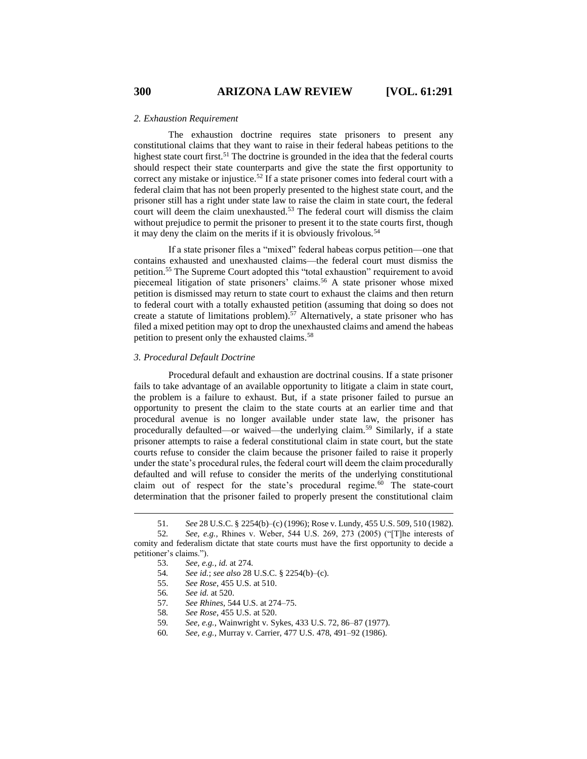#### *2. Exhaustion Requirement*

The exhaustion doctrine requires state prisoners to present any constitutional claims that they want to raise in their federal habeas petitions to the highest state court first.<sup>51</sup> The doctrine is grounded in the idea that the federal courts should respect their state counterparts and give the state the first opportunity to correct any mistake or injustice.<sup>52</sup> If a state prisoner comes into federal court with a federal claim that has not been properly presented to the highest state court, and the prisoner still has a right under state law to raise the claim in state court, the federal court will deem the claim unexhausted.<sup>53</sup> The federal court will dismiss the claim without prejudice to permit the prisoner to present it to the state courts first, though it may deny the claim on the merits if it is obviously frivolous.<sup>54</sup>

If a state prisoner files a "mixed" federal habeas corpus petition—one that contains exhausted and unexhausted claims—the federal court must dismiss the petition.<sup>55</sup> The Supreme Court adopted this "total exhaustion" requirement to avoid piecemeal litigation of state prisoners' claims.<sup>56</sup> A state prisoner whose mixed petition is dismissed may return to state court to exhaust the claims and then return to federal court with a totally exhausted petition (assuming that doing so does not create a statute of limitations problem).<sup>57</sup> Alternatively, a state prisoner who has filed a mixed petition may opt to drop the unexhausted claims and amend the habeas petition to present only the exhausted claims.<sup>58</sup>

## *3. Procedural Default Doctrine*

Procedural default and exhaustion are doctrinal cousins. If a state prisoner fails to take advantage of an available opportunity to litigate a claim in state court, the problem is a failure to exhaust. But, if a state prisoner failed to pursue an opportunity to present the claim to the state courts at an earlier time and that procedural avenue is no longer available under state law, the prisoner has procedurally defaulted—or waived—the underlying claim.<sup>59</sup> Similarly, if a state prisoner attempts to raise a federal constitutional claim in state court, but the state courts refuse to consider the claim because the prisoner failed to raise it properly under the state's procedural rules, the federal court will deem the claim procedurally defaulted and will refuse to consider the merits of the underlying constitutional claim out of respect for the state's procedural regime. $60$  The state-court determination that the prisoner failed to properly present the constitutional claim

- 54*. See id.*; *see also* 28 U.S.C. § 2254(b)–(c).
- 55. *See Rose*, 455 U.S. at 510.
- 56*. See id.* at 520.

- 57*. See Rhines*, 544 U.S. at 274–75.
- 58*. See Rose*, 455 U.S. at 520.
- 59*. See, e.g.*, Wainwright v. Sykes, 433 U.S. 72, 86–87 (1977).
- 60*. See, e.g.*, Murray v. Carrier, 477 U.S. 478, 491–92 (1986).

<sup>51.</sup> *See* 28 U.S.C. § 2254(b)–(c) (1996); Rose v. Lundy, 455 U.S. 509, 510 (1982).

<sup>52</sup>*. See, e.g.*, Rhines v. Weber, 544 U.S. 269, 273 (2005) ("[T]he interests of comity and federalism dictate that state courts must have the first opportunity to decide a petitioner's claims.").

<sup>53.</sup> *See, e.g.*, *id.* at 274.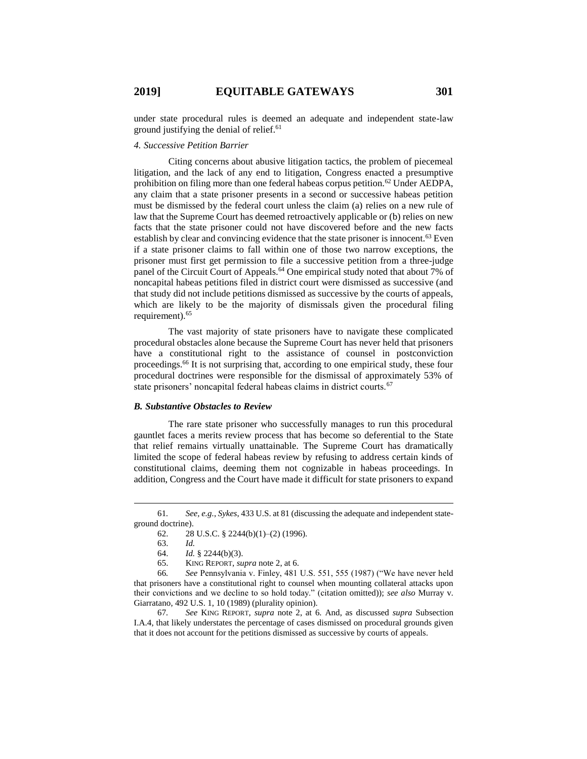under state procedural rules is deemed an adequate and independent state-law ground justifying the denial of relief.<sup>61</sup>

## *4. Successive Petition Barrier*

Citing concerns about abusive litigation tactics, the problem of piecemeal litigation, and the lack of any end to litigation, Congress enacted a presumptive prohibition on filing more than one federal habeas corpus petition.<sup>62</sup> Under AEDPA, any claim that a state prisoner presents in a second or successive habeas petition must be dismissed by the federal court unless the claim (a) relies on a new rule of law that the Supreme Court has deemed retroactively applicable or (b) relies on new facts that the state prisoner could not have discovered before and the new facts establish by clear and convincing evidence that the state prisoner is innocent.<sup>63</sup> Even if a state prisoner claims to fall within one of those two narrow exceptions, the prisoner must first get permission to file a successive petition from a three-judge panel of the Circuit Court of Appeals.<sup>64</sup> One empirical study noted that about 7% of noncapital habeas petitions filed in district court were dismissed as successive (and that study did not include petitions dismissed as successive by the courts of appeals, which are likely to be the majority of dismissals given the procedural filing requirement).<sup>65</sup>

The vast majority of state prisoners have to navigate these complicated procedural obstacles alone because the Supreme Court has never held that prisoners have a constitutional right to the assistance of counsel in postconviction proceedings.<sup>66</sup> It is not surprising that, according to one empirical study, these four procedural doctrines were responsible for the dismissal of approximately 53% of state prisoners' noncapital federal habeas claims in district courts.<sup>67</sup>

#### *B. Substantive Obstacles to Review*

The rare state prisoner who successfully manages to run this procedural gauntlet faces a merits review process that has become so deferential to the State that relief remains virtually unattainable. The Supreme Court has dramatically limited the scope of federal habeas review by refusing to address certain kinds of constitutional claims, deeming them not cognizable in habeas proceedings. In addition, Congress and the Court have made it difficult for state prisoners to expand

<sup>61</sup>*. See, e.g.*, *Sykes*, 433 U.S. at 81 (discussing the adequate and independent stateground doctrine).

<sup>62. 28</sup> U.S.C. § 2244(b)(1)–(2) (1996).

<sup>63.</sup> *Id.*

<sup>64.</sup> *Id.* § 2244(b)(3).

<sup>65.</sup> KING REPORT, *supra* not[e 2,](#page-1-1) at 6.

<sup>66</sup>*. See* Pennsylvania v. Finley, 481 U.S. 551, 555 (1987) ("We have never held that prisoners have a constitutional right to counsel when mounting collateral attacks upon their convictions and we decline to so hold today." (citation omitted)); *see also* Murray v. Giarratano, 492 U.S. 1, 10 (1989) (plurality opinion).

<sup>67</sup>*. See* KING REPORT, *supra* note [2,](#page-1-1) at 6. And, as discussed *supra* Subsection I.A.4, that likely understates the percentage of cases dismissed on procedural grounds given that it does not account for the petitions dismissed as successive by courts of appeals.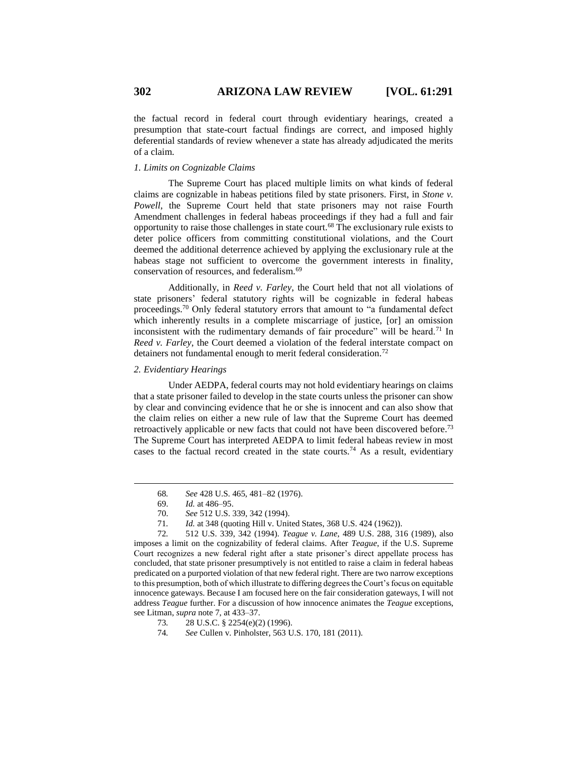the factual record in federal court through evidentiary hearings, created a presumption that state-court factual findings are correct, and imposed highly deferential standards of review whenever a state has already adjudicated the merits of a claim.

## *1. Limits on Cognizable Claims*

The Supreme Court has placed multiple limits on what kinds of federal claims are cognizable in habeas petitions filed by state prisoners. First, in *Stone v. Powell*, the Supreme Court held that state prisoners may not raise Fourth Amendment challenges in federal habeas proceedings if they had a full and fair opportunity to raise those challenges in state court.<sup>68</sup> The exclusionary rule exists to deter police officers from committing constitutional violations, and the Court deemed the additional deterrence achieved by applying the exclusionary rule at the habeas stage not sufficient to overcome the government interests in finality, conservation of resources, and federalism.<sup>69</sup>

Additionally, in *Reed v. Farley*, the Court held that not all violations of state prisoners' federal statutory rights will be cognizable in federal habeas proceedings.<sup>70</sup> Only federal statutory errors that amount to "a fundamental defect which inherently results in a complete miscarriage of justice, [or] an omission inconsistent with the rudimentary demands of fair procedure" will be heard.<sup>71</sup> In *Reed v. Farley*, the Court deemed a violation of the federal interstate compact on detainers not fundamental enough to merit federal consideration.<sup>72</sup>

*2. Evidentiary Hearings*

Under AEDPA, federal courts may not hold evidentiary hearings on claims that a state prisoner failed to develop in the state courts unless the prisoner can show by clear and convincing evidence that he or she is innocent and can also show that the claim relies on either a new rule of law that the Supreme Court has deemed retroactively applicable or new facts that could not have been discovered before.<sup>73</sup> The Supreme Court has interpreted AEDPA to limit federal habeas review in most cases to the factual record created in the state courts.<sup>74</sup> As a result, evidentiary

 $\overline{a}$ 

74*. See* Cullen v. Pinholster, 563 U.S. 170, 181 (2011).

<sup>68</sup>*. See* 428 U.S. 465, 481–82 (1976).

<sup>69.</sup> *Id.* at 486–95.

<sup>70.</sup> *See* 512 U.S. 339, 342 (1994).

<sup>71</sup>*. Id.* at 348 (quoting Hill v. United States, 368 U.S. 424 (1962)).

<sup>72</sup>*.* 512 U.S. 339, 342 (1994). *Teague v. Lane*, 489 U.S. 288, 316 (1989), also imposes a limit on the cognizability of federal claims. After *Teague*, if the U.S. Supreme Court recognizes a new federal right after a state prisoner's direct appellate process has concluded, that state prisoner presumptively is not entitled to raise a claim in federal habeas predicated on a purported violation of that new federal right. There are two narrow exceptions to this presumption, both of which illustrate to differing degrees the Court's focus on equitable innocence gateways. Because I am focused here on the fair consideration gateways, I will not address *Teague* further. For a discussion of how innocence animates the *Teague* exceptions, see Litman, *supra* not[e 7,](#page-2-0) at 433–37.

<sup>73</sup>*.* 28 U.S.C. § 2254(e)(2) (1996).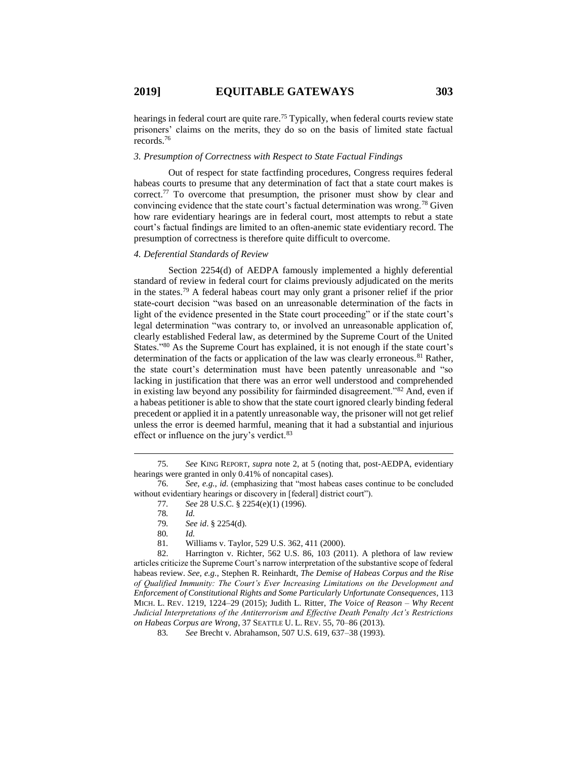hearings in federal court are quite rare.<sup>75</sup> Typically, when federal courts review state prisoners' claims on the merits, they do so on the basis of limited state factual records.<sup>76</sup>

#### *3. Presumption of Correctness with Respect to State Factual Findings*

Out of respect for state factfinding procedures, Congress requires federal habeas courts to presume that any determination of fact that a state court makes is correct.<sup>77</sup> To overcome that presumption, the prisoner must show by clear and convincing evidence that the state court's factual determination was wrong.<sup>78</sup> Given how rare evidentiary hearings are in federal court, most attempts to rebut a state court's factual findings are limited to an often-anemic state evidentiary record. The presumption of correctness is therefore quite difficult to overcome.

## *4. Deferential Standards of Review*

Section 2254(d) of AEDPA famously implemented a highly deferential standard of review in federal court for claims previously adjudicated on the merits in the states.<sup>79</sup> A federal habeas court may only grant a prisoner relief if the prior state-court decision "was based on an unreasonable determination of the facts in light of the evidence presented in the State court proceeding" or if the state court's legal determination "was contrary to, or involved an unreasonable application of, clearly established Federal law, as determined by the Supreme Court of the United States."<sup>80</sup> As the Supreme Court has explained, it is not enough if the state court's determination of the facts or application of the law was clearly erroneous.<sup>81</sup> Rather, the state court's determination must have been patently unreasonable and "so lacking in justification that there was an error well understood and comprehended in existing law beyond any possibility for fairminded disagreement."<sup>82</sup> And, even if a habeas petitioner is able to show that the state court ignored clearly binding federal precedent or applied it in a patently unreasonable way, the prisoner will not get relief unless the error is deemed harmful, meaning that it had a substantial and injurious effect or influence on the jury's verdict.<sup>83</sup>

<sup>75.</sup> *See* KING REPORT, *supra* note 2, at 5 (noting that, post-AEDPA, evidentiary hearings were granted in only 0.41% of noncapital cases).

<sup>76.</sup> *See, e.g.*, *id.* (emphasizing that "most habeas cases continue to be concluded without evidentiary hearings or discovery in [federal] district court").

<span id="page-12-0"></span><sup>77</sup>*. See* 28 U.S.C. § 2254(e)(1) (1996).

<sup>78</sup>*. Id.*

<sup>79</sup>*. See id*. § 2254(d).

<sup>80</sup>*. Id.*

<sup>81</sup>*.* Williams v. Taylor, 529 U.S. 362, 411 (2000).

<sup>82.</sup> Harrington v. Richter, 562 U.S. 86, 103 (2011). A plethora of law review articles criticize the Supreme Court's narrow interpretation of the substantive scope of federal habeas review. *See, e.g.*, Stephen R. Reinhardt, *The Demise of Habeas Corpus and the Rise of Qualified Immunity: The Court's Ever Increasing Limitations on the Development and Enforcement of Constitutional Rights and Some Particularly Unfortunate Consequences*, 113 MICH. L. REV. 1219, 1224–29 (2015); Judith L. Ritter, *The Voice of Reason – Why Recent Judicial Interpretations of the Antiterrorism and Effective Death Penalty Act's Restrictions on Habeas Corpus are Wrong*, 37 SEATTLE U. L. REV. 55, 70–86 (2013).

<sup>83</sup>*. See* Brecht v. Abrahamson, 507 U.S. 619, 637–38 (1993).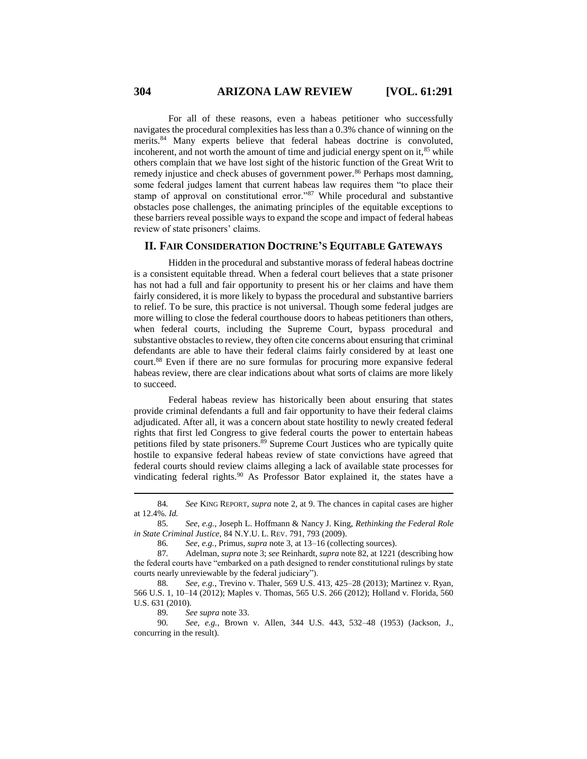For all of these reasons, even a habeas petitioner who successfully navigates the procedural complexities has less than a 0.3% chance of winning on the merits.<sup>84</sup> Many experts believe that federal habeas doctrine is convoluted, incoherent, and not worth the amount of time and judicial energy spent on it, $85$  while others complain that we have lost sight of the historic function of the Great Writ to remedy injustice and check abuses of government power.<sup>86</sup> Perhaps most damning, some federal judges lament that current habeas law requires them "to place their stamp of approval on constitutional error."<sup>87</sup> While procedural and substantive obstacles pose challenges, the animating principles of the equitable exceptions to these barriers reveal possible ways to expand the scope and impact of federal habeas review of state prisoners' claims.

## **II. FAIR CONSIDERATION DOCTRINE'S EQUITABLE GATEWAYS**

Hidden in the procedural and substantive morass of federal habeas doctrine is a consistent equitable thread. When a federal court believes that a state prisoner has not had a full and fair opportunity to present his or her claims and have them fairly considered, it is more likely to bypass the procedural and substantive barriers to relief. To be sure, this practice is not universal. Though some federal judges are more willing to close the federal courthouse doors to habeas petitioners than others, when federal courts, including the Supreme Court, bypass procedural and substantive obstacles to review, they often cite concerns about ensuring that criminal defendants are able to have their federal claims fairly considered by at least one court.<sup>88</sup> Even if there are no sure formulas for procuring more expansive federal habeas review, there are clear indications about what sorts of claims are more likely to succeed.

Federal habeas review has historically been about ensuring that states provide criminal defendants a full and fair opportunity to have their federal claims adjudicated. After all, it was a concern about state hostility to newly created federal rights that first led Congress to give federal courts the power to entertain habeas petitions filed by state prisoners.<sup>89</sup> Supreme Court Justices who are typically quite hostile to expansive federal habeas review of state convictions have agreed that federal courts should review claims alleging a lack of available state processes for vindicating federal rights.<sup>90</sup> As Professor Bator explained it, the states have a

89*. See supra* note [33.](#page-6-1)

90*. See, e.g.*, Brown v. Allen, 344 U.S. 443, 532–48 (1953) (Jackson, J., concurring in the result).

<sup>84</sup>*. See* KING REPORT, *supra* note 2, at 9. The chances in capital cases are higher at 12.4%. *Id.*

<sup>85</sup>*. See, e.g.*, Joseph L. Hoffmann & Nancy J. King, *Rethinking the Federal Role in State Criminal Justice*, 84 N.Y.U. L. REV. 791, 793 (2009).

<sup>86</sup>*. See, e.g.*, Primus, *supra* not[e 3,](#page-1-0) at 13–16 (collecting sources).

<sup>87</sup>*.* Adelman, *supra* not[e 3;](#page-1-0) *see* Reinhardt, *supra* not[e 82,](#page-12-0) at 1221 (describing how the federal courts have "embarked on a path designed to render constitutional rulings by state courts nearly unreviewable by the federal judiciary").

<sup>88</sup>*. See, e.g.*, Trevino v. Thaler, 569 U.S. 413, 425–28 (2013); Martinez v. Ryan, 566 U.S. 1, 10–14 (2012); Maples v. Thomas, 565 U.S. 266 (2012); Holland v. Florida, 560 U.S. 631 (2010).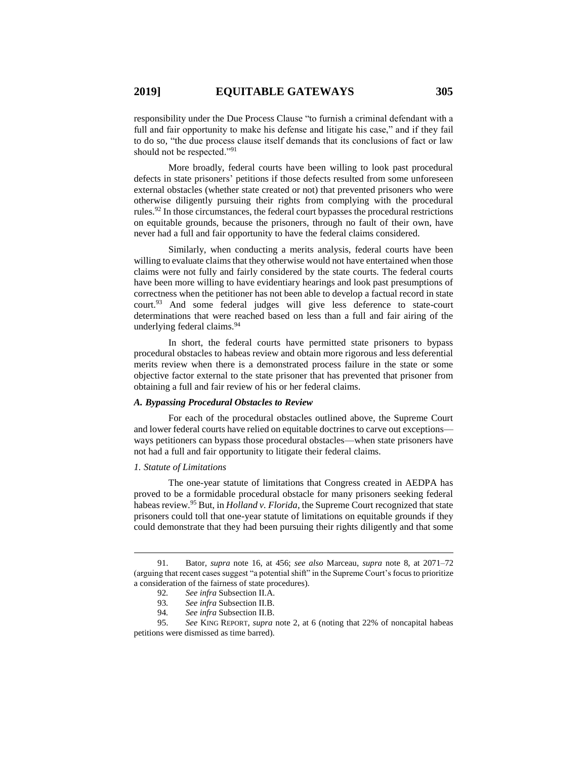responsibility under the Due Process Clause "to furnish a criminal defendant with a full and fair opportunity to make his defense and litigate his case," and if they fail to do so, "the due process clause itself demands that its conclusions of fact or law should not be respected."<sup>91</sup>

More broadly, federal courts have been willing to look past procedural defects in state prisoners' petitions if those defects resulted from some unforeseen external obstacles (whether state created or not) that prevented prisoners who were otherwise diligently pursuing their rights from complying with the procedural rules.<sup>92</sup> In those circumstances, the federal court bypasses the procedural restrictions on equitable grounds, because the prisoners, through no fault of their own, have never had a full and fair opportunity to have the federal claims considered.

Similarly, when conducting a merits analysis, federal courts have been willing to evaluate claims that they otherwise would not have entertained when those claims were not fully and fairly considered by the state courts. The federal courts have been more willing to have evidentiary hearings and look past presumptions of correctness when the petitioner has not been able to develop a factual record in state court.<sup>93</sup> And some federal judges will give less deference to state-court determinations that were reached based on less than a full and fair airing of the underlying federal claims.<sup>94</sup>

In short, the federal courts have permitted state prisoners to bypass procedural obstacles to habeas review and obtain more rigorous and less deferential merits review when there is a demonstrated process failure in the state or some objective factor external to the state prisoner that has prevented that prisoner from obtaining a full and fair review of his or her federal claims.

## *A. Bypassing Procedural Obstacles to Review*

For each of the procedural obstacles outlined above, the Supreme Court and lower federal courts have relied on equitable doctrines to carve out exceptions ways petitioners can bypass those procedural obstacles—when state prisoners have not had a full and fair opportunity to litigate their federal claims.

#### *1. Statute of Limitations*

 $\overline{a}$ 

The one-year statute of limitations that Congress created in AEDPA has proved to be a formidable procedural obstacle for many prisoners seeking federal habeas review.<sup>95</sup> But, in *Holland v. Florida*, the Supreme Court recognized that state prisoners could toll that one-year statute of limitations on equitable grounds if they could demonstrate that they had been pursuing their rights diligently and that some

<sup>91.</sup> Bator, *supra* note [16,](#page-3-0) at 456; *see also* Marceau, *supra* note [8,](#page-2-1) at 2071–72 (arguing that recent cases suggest "a potential shift" in the Supreme Court's focus to prioritize a consideration of the fairness of state procedures).

<sup>92</sup>*. See infra* Subsection II.A.

<sup>93</sup>*. See infra* Subsection II.B.

<sup>94</sup>*. See infra* Subsection II.B.

<sup>95.</sup> *See* KING REPORT, *supra* note [2,](#page-1-1) at 6 (noting that 22% of noncapital habeas petitions were dismissed as time barred).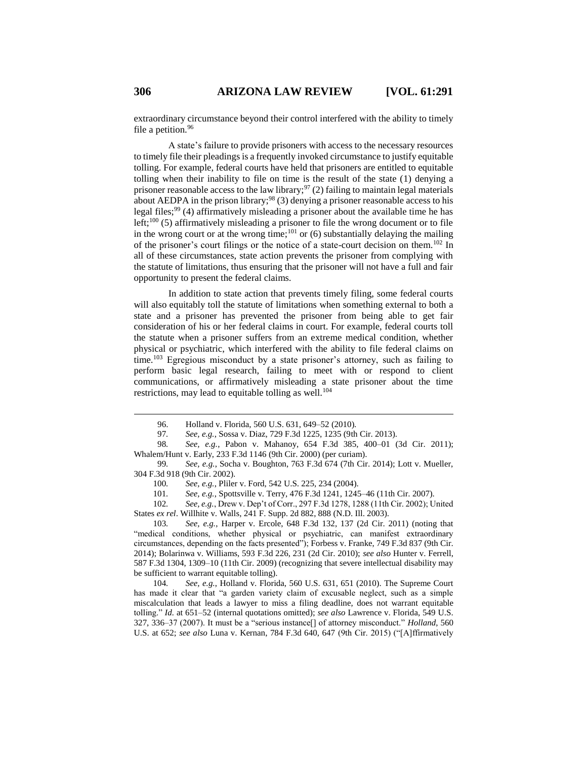extraordinary circumstance beyond their control interfered with the ability to timely file a petition.<sup>96</sup>

A state's failure to provide prisoners with access to the necessary resources to timely file their pleadings is a frequently invoked circumstance to justify equitable tolling. For example, federal courts have held that prisoners are entitled to equitable tolling when their inability to file on time is the result of the state (1) denying a prisoner reasonable access to the law library;  $97(2)$  failing to maintain legal materials about AEDPA in the prison library;<sup>98</sup> (3) denying a prisoner reasonable access to his legal files;<sup>99</sup> (4) affirmatively misleading a prisoner about the available time he has left;<sup>100</sup> (5) affirmatively misleading a prisoner to file the wrong document or to file in the wrong court or at the wrong time; $^{101}$  or (6) substantially delaying the mailing of the prisoner's court filings or the notice of a state-court decision on them.<sup>102</sup> In all of these circumstances, state action prevents the prisoner from complying with the statute of limitations, thus ensuring that the prisoner will not have a full and fair opportunity to present the federal claims.

In addition to state action that prevents timely filing, some federal courts will also equitably toll the statute of limitations when something external to both a state and a prisoner has prevented the prisoner from being able to get fair consideration of his or her federal claims in court. For example, federal courts toll the statute when a prisoner suffers from an extreme medical condition, whether physical or psychiatric, which interfered with the ability to file federal claims on time.<sup>103</sup> Egregious misconduct by a state prisoner's attorney, such as failing to perform basic legal research, failing to meet with or respond to client communications, or affirmatively misleading a state prisoner about the time restrictions, may lead to equitable tolling as well.<sup>104</sup>

99*. See, e.g.*, Socha v. Boughton, 763 F.3d 674 (7th Cir. 2014); Lott v. Mueller, 304 F.3d 918 (9th Cir. 2002).

100*. See, e.g.*, Pliler v. Ford, 542 U.S. 225, 234 (2004).

101*. See, e.g.*, Spottsville v. Terry, 476 F.3d 1241, 1245–46 (11th Cir. 2007).

102*. See, e.g.*, Drew v. Dep't of Corr., 297 F.3d 1278, 1288 (11th Cir. 2002); United States *ex rel*. Willhite v. Walls, 241 F. Supp. 2d 882, 888 (N.D. Ill. 2003).

103*. See, e.g.*, Harper v. Ercole, 648 F.3d 132, 137 (2d Cir. 2011) (noting that "medical conditions, whether physical or psychiatric, can manifest extraordinary circumstances, depending on the facts presented"); Forbess v. Franke, 749 F.3d 837 (9th Cir. 2014); Bolarinwa v. Williams, 593 F.3d 226, 231 (2d Cir. 2010); *see also* Hunter v. Ferrell, 587 F.3d 1304, 1309–10 (11th Cir. 2009) (recognizing that severe intellectual disability may be sufficient to warrant equitable tolling).

104*. See, e.g.*, Holland v. Florida, 560 U.S. 631, 651 (2010). The Supreme Court has made it clear that "a garden variety claim of excusable neglect, such as a simple miscalculation that leads a lawyer to miss a filing deadline, does not warrant equitable tolling." *Id.* at 651–52 (internal quotations omitted); *see also* Lawrence v. Florida, 549 U.S. 327, 336–37 (2007). It must be a "serious instance[] of attorney misconduct." *Holland*, 560 U.S. at 652; *see also* Luna v. Kernan, 784 F.3d 640, 647 (9th Cir. 2015) ("[A]ffirmatively

<sup>96.</sup> Holland v. Florida, 560 U.S. 631, 649–52 (2010).

<sup>97</sup>*. See, e.g.*, Sossa v. Diaz, 729 F.3d 1225, 1235 (9th Cir. 2013).

<sup>98</sup>*. See, e.g.*, Pabon v. Mahanoy, 654 F.3d 385, 400–01 (3d Cir. 2011); Whalem/Hunt v. Early, 233 F.3d 1146 (9th Cir. 2000) (per curiam).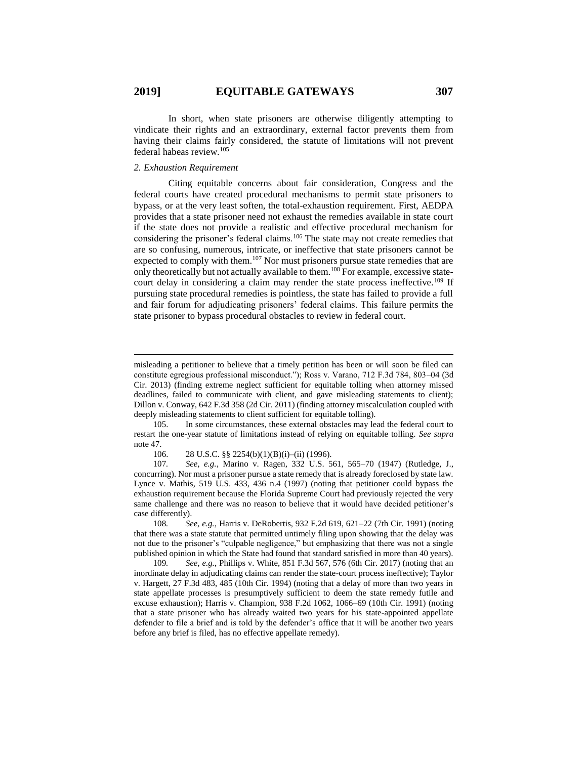In short, when state prisoners are otherwise diligently attempting to vindicate their rights and an extraordinary, external factor prevents them from having their claims fairly considered, the statute of limitations will not prevent federal habeas review.<sup>105</sup>

## *2. Exhaustion Requirement*

 $\overline{a}$ 

Citing equitable concerns about fair consideration, Congress and the federal courts have created procedural mechanisms to permit state prisoners to bypass, or at the very least soften, the total-exhaustion requirement. First, AEDPA provides that a state prisoner need not exhaust the remedies available in state court if the state does not provide a realistic and effective procedural mechanism for considering the prisoner's federal claims.<sup>106</sup> The state may not create remedies that are so confusing, numerous, intricate, or ineffective that state prisoners cannot be expected to comply with them.<sup>107</sup> Nor must prisoners pursue state remedies that are only theoretically but not actually available to them.<sup>108</sup> For example, excessive statecourt delay in considering a claim may render the state process ineffective.<sup>109</sup> If pursuing state procedural remedies is pointless, the state has failed to provide a full and fair forum for adjudicating prisoners' federal claims. This failure permits the state prisoner to bypass procedural obstacles to review in federal court.

misleading a petitioner to believe that a timely petition has been or will soon be filed can constitute egregious professional misconduct."); Ross v. Varano, 712 F.3d 784, 803–04 (3d Cir. 2013) (finding extreme neglect sufficient for equitable tolling when attorney missed deadlines, failed to communicate with client, and gave misleading statements to client); Dillon v. Conway, 642 F.3d 358 (2d Cir. 2011) (finding attorney miscalculation coupled with deeply misleading statements to client sufficient for equitable tolling).

<sup>105.</sup> In some circumstances, these external obstacles may lead the federal court to restart the one-year statute of limitations instead of relying on equitable tolling. *See supra*  not[e 47.](#page-8-0)

<sup>106.</sup> 28 U.S.C. §§ 2254(b)(1)(B)(i)–(ii) (1996).

<sup>107</sup>*. See, e.g.*, Marino v. Ragen, 332 U.S. 561, 565–70 (1947) (Rutledge, J., concurring). Nor must a prisoner pursue a state remedy that is already foreclosed by state law. Lynce v. Mathis, 519 U.S. 433, 436 n.4 (1997) (noting that petitioner could bypass the exhaustion requirement because the Florida Supreme Court had previously rejected the very same challenge and there was no reason to believe that it would have decided petitioner's case differently).

<sup>108</sup>*. See, e.g.*, Harris v. DeRobertis, 932 F.2d 619, 621–22 (7th Cir. 1991) (noting that there was a state statute that permitted untimely filing upon showing that the delay was not due to the prisoner's "culpable negligence," but emphasizing that there was not a single published opinion in which the State had found that standard satisfied in more than 40 years).

<sup>109</sup>*. See, e.g.*, Phillips v. White, 851 F.3d 567, 576 (6th Cir. 2017) (noting that an inordinate delay in adjudicating claims can render the state-court process ineffective); Taylor v. Hargett, 27 F.3d 483, 485 (10th Cir. 1994) (noting that a delay of more than two years in state appellate processes is presumptively sufficient to deem the state remedy futile and excuse exhaustion); Harris v. Champion, 938 F.2d 1062, 1066–69 (10th Cir. 1991) (noting that a state prisoner who has already waited two years for his state-appointed appellate defender to file a brief and is told by the defender's office that it will be another two years before any brief is filed, has no effective appellate remedy).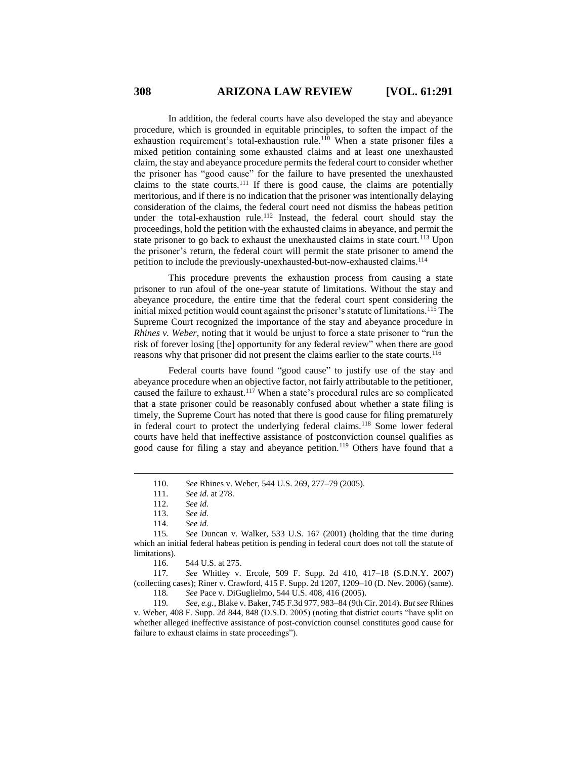In addition, the federal courts have also developed the stay and abeyance procedure, which is grounded in equitable principles, to soften the impact of the exhaustion requirement's total-exhaustion rule.<sup>110</sup> When a state prisoner files a mixed petition containing some exhausted claims and at least one unexhausted claim, the stay and abeyance procedure permits the federal court to consider whether the prisoner has "good cause" for the failure to have presented the unexhausted claims to the state courts.<sup>111</sup> If there is good cause, the claims are potentially meritorious, and if there is no indication that the prisoner was intentionally delaying consideration of the claims, the federal court need not dismiss the habeas petition under the total-exhaustion rule.<sup>112</sup> Instead, the federal court should stay the proceedings, hold the petition with the exhausted claims in abeyance, and permit the state prisoner to go back to exhaust the unexhausted claims in state court.<sup>113</sup> Upon the prisoner's return, the federal court will permit the state prisoner to amend the petition to include the previously-unexhausted-but-now-exhausted claims.<sup>114</sup>

This procedure prevents the exhaustion process from causing a state prisoner to run afoul of the one-year statute of limitations. Without the stay and abeyance procedure, the entire time that the federal court spent considering the initial mixed petition would count against the prisoner's statute of limitations.<sup>115</sup> The Supreme Court recognized the importance of the stay and abeyance procedure in *Rhines v. Weber, noting that it would be unjust to force a state prisoner to "run the* risk of forever losing [the] opportunity for any federal review" when there are good reasons why that prisoner did not present the claims earlier to the state courts.<sup>116</sup>

Federal courts have found "good cause" to justify use of the stay and abeyance procedure when an objective factor, not fairly attributable to the petitioner, caused the failure to exhaust.<sup>117</sup> When a state's procedural rules are so complicated that a state prisoner could be reasonably confused about whether a state filing is timely, the Supreme Court has noted that there is good cause for filing prematurely in federal court to protect the underlying federal claims.<sup>118</sup> Some lower federal courts have held that ineffective assistance of postconviction counsel qualifies as good cause for filing a stay and abeyance petition.<sup>119</sup> Others have found that a

 $\overline{a}$ 

119*. See, e.g.*, Blake v. Baker, 745 F.3d 977, 983–84 (9th Cir. 2014). *But see* Rhines v. Weber, 408 F. Supp. 2d 844, 848 (D.S.D. 2005) (noting that district courts "have split on whether alleged ineffective assistance of post-conviction counsel constitutes good cause for failure to exhaust claims in state proceedings").

<sup>110.</sup> *See* Rhines v. Weber, 544 U.S. 269, 277–79 (2005).

<sup>111.</sup> *See id.* at 278.

<sup>112.</sup> *See id.*

<sup>113.</sup> *See id.*

<sup>114.</sup> *See id.*

<sup>115</sup>*. See* Duncan v. Walker, 533 U.S. 167 (2001) (holding that the time during which an initial federal habeas petition is pending in federal court does not toll the statute of limitations).

<sup>116.</sup> 544 U.S. at 275.

<sup>117</sup>*. See* Whitley v. Ercole, 509 F. Supp. 2d 410, 417–18 (S.D.N.Y. 2007) (collecting cases); Riner v. Crawford, 415 F. Supp. 2d 1207, 1209–10 (D. Nev. 2006) (same). 118*. See* Pace v. DiGuglielmo, 544 U.S. 408, 416 (2005).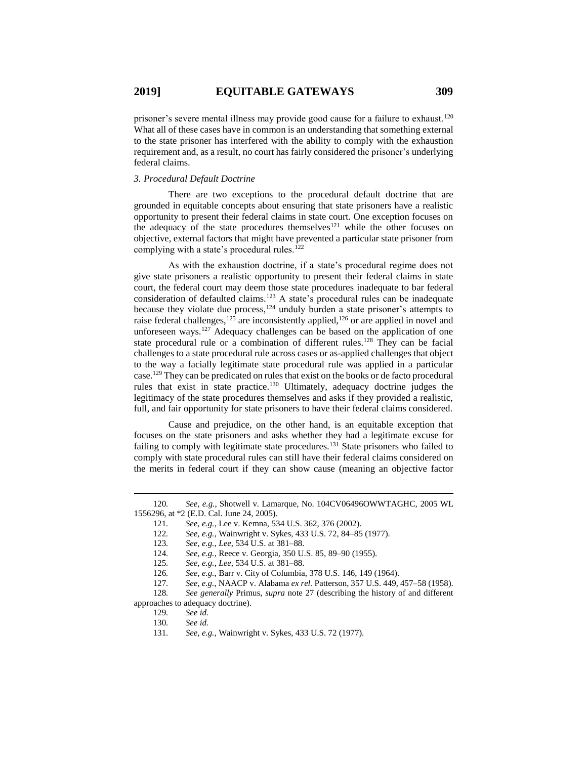prisoner's severe mental illness may provide good cause for a failure to exhaust.<sup>120</sup> What all of these cases have in common is an understanding that something external to the state prisoner has interfered with the ability to comply with the exhaustion requirement and, as a result, no court has fairly considered the prisoner's underlying federal claims.

## *3. Procedural Default Doctrine*

There are two exceptions to the procedural default doctrine that are grounded in equitable concepts about ensuring that state prisoners have a realistic opportunity to present their federal claims in state court. One exception focuses on the adequacy of the state procedures themselves<sup>121</sup> while the other focuses on objective, external factors that might have prevented a particular state prisoner from complying with a state's procedural rules.<sup>122</sup>

<span id="page-18-0"></span>As with the exhaustion doctrine, if a state's procedural regime does not give state prisoners a realistic opportunity to present their federal claims in state court, the federal court may deem those state procedures inadequate to bar federal consideration of defaulted claims.<sup>123</sup> A state's procedural rules can be inadequate because they violate due process,  $124$  unduly burden a state prisoner's attempts to raise federal challenges,<sup>125</sup> are inconsistently applied,<sup>126</sup> or are applied in novel and unforeseen ways.<sup>127</sup> Adequacy challenges can be based on the application of one state procedural rule or a combination of different rules.<sup>128</sup> They can be facial challenges to a state procedural rule across cases or as-applied challenges that object to the way a facially legitimate state procedural rule was applied in a particular case.<sup>129</sup> They can be predicated on rules that exist on the books or de facto procedural rules that exist in state practice.<sup>130</sup> Ultimately, adequacy doctrine judges the legitimacy of the state procedures themselves and asks if they provided a realistic, full, and fair opportunity for state prisoners to have their federal claims considered.

<span id="page-18-1"></span>Cause and prejudice, on the other hand, is an equitable exception that focuses on the state prisoners and asks whether they had a legitimate excuse for failing to comply with legitimate state procedures.<sup>131</sup> State prisoners who failed to comply with state procedural rules can still have their federal claims considered on the merits in federal court if they can show cause (meaning an objective factor

approaches to adequacy doctrine).

<sup>120</sup>*. See, e.g.*, Shotwell v. Lamarque, No. 104CV06496OWWTAGHC, 2005 WL 1556296, at \*2 (E.D. Cal. June 24, 2005).

<sup>121</sup>*. See, e.g.*, Lee v. Kemna, 534 U.S. 362, 376 (2002).

<sup>122</sup>*. See, e.g.*, Wainwright v. Sykes, 433 U.S. 72, 84–85 (1977).

<sup>123</sup>*. See, e.g.*, *Lee*, 534 U.S. at 381–88.

<sup>124</sup>*. See, e.g.*, Reece v. Georgia, 350 U.S. 85, 89–90 (1955).

<sup>125</sup>*. See, e.g.*, *Lee*, 534 U.S. at 381–88.

<sup>126</sup>*. See, e.g.*, Barr v. City of Columbia, 378 U.S. 146, 149 (1964).

<sup>127</sup>*. See, e.g.*, NAACP v. Alabama *ex rel.* Patterson, 357 U.S. 449, 457–58 (1958). 128*. See generally* Primus, *supra* note [27](#page-5-0) (describing the history of and different

<sup>129</sup>*. See id.*

<sup>130</sup>*. See id.*

<sup>131</sup>*. See, e.g.*, Wainwright v. Sykes, 433 U.S. 72 (1977).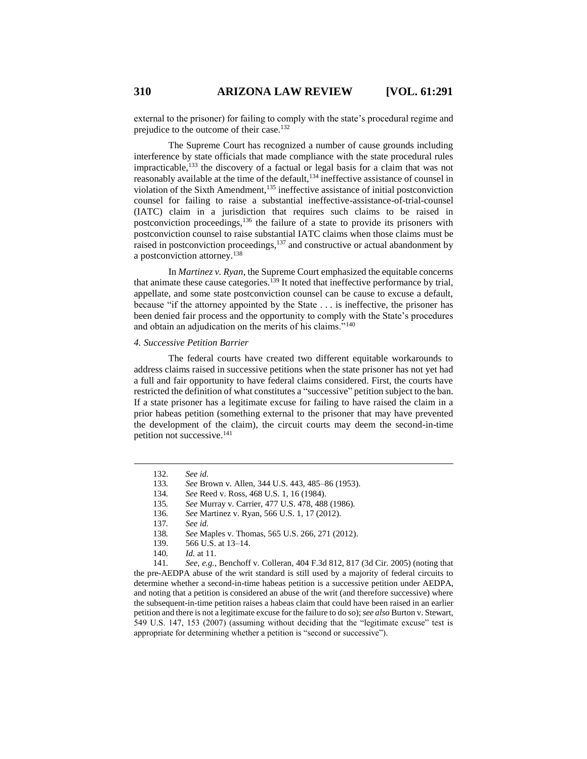external to the prisoner) for failing to comply with the state's procedural regime and prejudice to the outcome of their case.<sup>132</sup>

The Supreme Court has recognized a number of cause grounds including interference by state officials that made compliance with the state procedural rules impracticable,<sup>133</sup> the discovery of a factual or legal basis for a claim that was not reasonably available at the time of the default,<sup>134</sup> ineffective assistance of counsel in violation of the Sixth Amendment,<sup>135</sup> ineffective assistance of initial postconviction counsel for failing to raise a substantial ineffective-assistance-of-trial-counsel (IATC) claim in a jurisdiction that requires such claims to be raised in postconviction proceedings,  $136$  the failure of a state to provide its prisoners with postconviction counsel to raise substantial IATC claims when those claims must be raised in postconviction proceedings, $137$  and constructive or actual abandonment by a postconviction attorney.<sup>138</sup>

In *Martinez v. Ryan*, the Supreme Court emphasized the equitable concerns that animate these cause categories.<sup>139</sup> It noted that ineffective performance by trial, appellate, and some state postconviction counsel can be cause to excuse a default, because "if the attorney appointed by the State . . . is ineffective, the prisoner has been denied fair process and the opportunity to comply with the State's procedures and obtain an adjudication on the merits of his claims."<sup>140</sup>

## *4. Successive Petition Barrier*

The federal courts have created two different equitable workarounds to address claims raised in successive petitions when the state prisoner has not yet had a full and fair opportunity to have federal claims considered. First, the courts have restricted the definition of what constitutes a "successive" petition subject to the ban. If a state prisoner has a legitimate excuse for failing to have raised the claim in a prior habeas petition (something external to the prisoner that may have prevented the development of the claim), the circuit courts may deem the second-in-time petition not successive. 141

 $\overline{a}$ 

141*. See, e.g.*, Benchoff v. Colleran, 404 F.3d 812, 817 (3d Cir. 2005) (noting that the pre-AEDPA abuse of the writ standard is still used by a majority of federal circuits to determine whether a second-in-time habeas petition is a successive petition under AEDPA, and noting that a petition is considered an abuse of the writ (and therefore successive) where the subsequent-in-time petition raises a habeas claim that could have been raised in an earlier petition and there is not a legitimate excuse for the failure to do so); *see also* Burton v. Stewart, 549 U.S. 147, 153 (2007) (assuming without deciding that the "legitimate excuse" test is appropriate for determining whether a petition is "second or successive").

<sup>132.</sup> *See id.*

<sup>133</sup>*. See* Brown v. Allen, 344 U.S. 443, 485–86 (1953).

<sup>134</sup>*. See* Reed v. Ross, 468 U.S. 1, 16 (1984).

<sup>135</sup>*. See* Murray v. Carrier, 477 U.S. 478, 488 (1986).

<sup>136</sup>*. See* Martinez v. Ryan, 566 U.S. 1, 17 (2012).

<sup>137</sup>*. See id.*

<sup>138</sup>*. See* Maples v. Thomas, 565 U.S. 266, 271 (2012).

<sup>139.</sup> 566 U.S. at 13–14.

<sup>140</sup>*. Id.* at 11.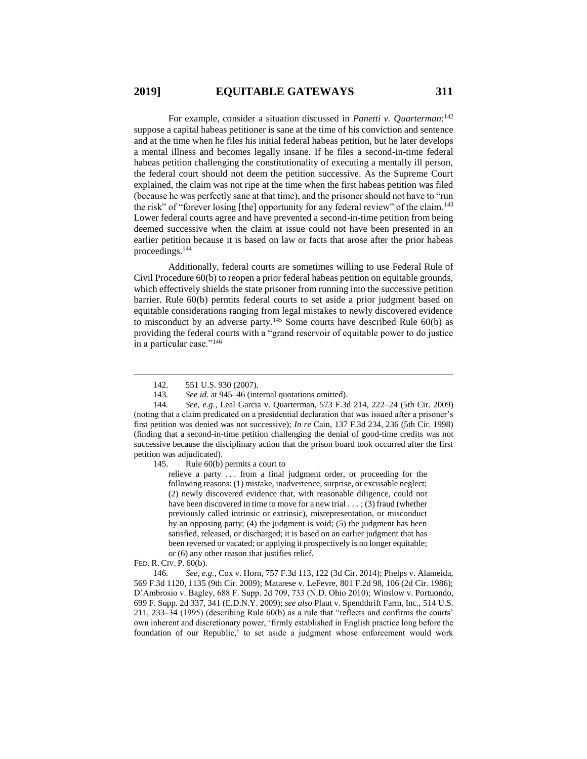For example, consider a situation discussed in *Panetti v. Quarterman*: 142 suppose a capital habeas petitioner is sane at the time of his conviction and sentence and at the time when he files his initial federal habeas petition, but he later develops a mental illness and becomes legally insane. If he files a second-in-time federal habeas petition challenging the constitutionality of executing a mentally ill person, the federal court should not deem the petition successive. As the Supreme Court explained, the claim was not ripe at the time when the first habeas petition was filed (because he was perfectly sane at that time), and the prisoner should not have to "run the risk" of "forever losing [the] opportunity for any federal review" of the claim.<sup>143</sup> Lower federal courts agree and have prevented a second-in-time petition from being deemed successive when the claim at issue could not have been presented in an earlier petition because it is based on law or facts that arose after the prior habeas proceedings.<sup>144</sup>

Additionally, federal courts are sometimes willing to use Federal Rule of Civil Procedure 60(b) to reopen a prior federal habeas petition on equitable grounds, which effectively shields the state prisoner from running into the successive petition barrier. Rule 60(b) permits federal courts to set aside a prior judgment based on equitable considerations ranging from legal mistakes to newly discovered evidence to misconduct by an adverse party.<sup>145</sup> Some courts have described Rule  $60(b)$  as providing the federal courts with a "grand reservoir of equitable power to do justice in a particular case."<sup>146</sup>

145. Rule 60(b) permits a court to

relieve a party . . . from a final judgment order, or proceeding for the following reasons: (1) mistake, inadvertence, surprise, or excusable neglect; (2) newly discovered evidence that, with reasonable diligence, could not have been discovered in time to move for a new trial . . . : (3) fraud (whether previously called intrinsic or extrinsic), misrepresentation, or misconduct by an opposing party; (4) the judgment is void; (5) the judgment has been satisfied, released, or discharged; it is based on an earlier judgment that has been reversed or vacated; or applying it prospectively is no longer equitable; or (6) any other reason that justifies relief.

 $\overline{a}$ 

146*. See, e.g.*, Cox v. Horn, 757 F.3d 113, 122 (3d Cir. 2014); Phelps v. Alameida, 569 F.3d 1120, 1135 (9th Cir. 2009); Matarese v. LeFevre, 801 F.2d 98, 106 (2d Cir. 1986); D'Ambrosio v. Bagley, 688 F. Supp. 2d 709, 733 (N.D. Ohio 2010); Winslow v. Portuondo, 699 F. Supp. 2d 337, 341 (E.D.N.Y. 2009); *see also* Plaut v. Spendthrift Farm, Inc., 514 U.S. 211, 233–34 (1995) (describing Rule 60(b) as a rule that "reflects and confirms the courts' own inherent and discretionary power, 'firmly established in English practice long before the foundation of our Republic,' to set aside a judgment whose enforcement would work

<sup>142.</sup> 551 U.S. 930 (2007).

<sup>143</sup>*. See id.* at 945–46 (internal quotations omitted).

<sup>144</sup>*. See, e.g.*, Leal Garcia v. Quarterman, 573 F.3d 214, 222–24 (5th Cir. 2009) (noting that a claim predicated on a presidential declaration that was issued after a prisoner's first petition was denied was not successive); *In re* Cain, 137 F.3d 234, 236 (5th Cir. 1998) (finding that a second-in-time petition challenging the denial of good-time credits was not successive because the disciplinary action that the prison board took occurred after the first petition was adjudicated).

FED. R. CIV. P. 60(b).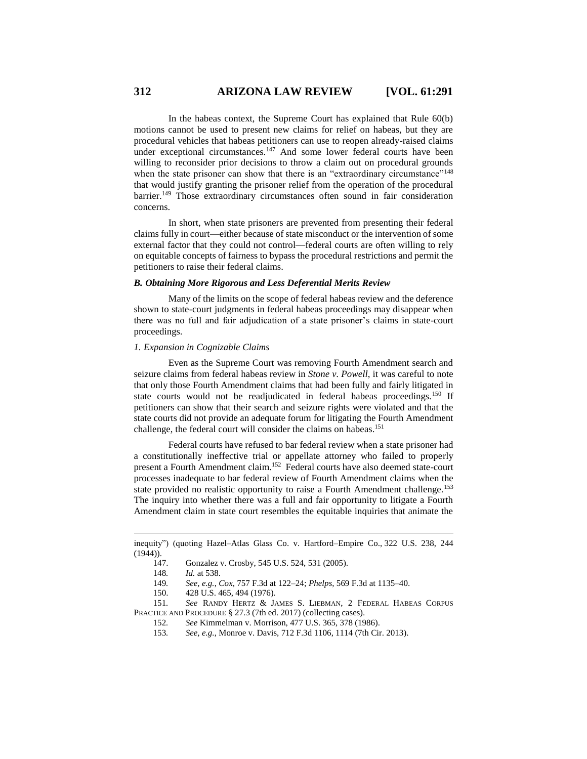In the habeas context, the Supreme Court has explained that Rule 60(b) motions cannot be used to present new claims for relief on habeas, but they are procedural vehicles that habeas petitioners can use to reopen already-raised claims under exceptional circumstances.<sup>147</sup> And some lower federal courts have been willing to reconsider prior decisions to throw a claim out on procedural grounds when the state prisoner can show that there is an "extraordinary circumstance"<sup>148</sup> that would justify granting the prisoner relief from the operation of the procedural barrier.<sup>149</sup> Those extraordinary circumstances often sound in fair consideration concerns.

In short, when state prisoners are prevented from presenting their federal claims fully in court—either because of state misconduct or the intervention of some external factor that they could not control—federal courts are often willing to rely on equitable concepts of fairness to bypass the procedural restrictions and permit the petitioners to raise their federal claims.

#### *B. Obtaining More Rigorous and Less Deferential Merits Review*

Many of the limits on the scope of federal habeas review and the deference shown to state-court judgments in federal habeas proceedings may disappear when there was no full and fair adjudication of a state prisoner's claims in state-court proceedings.

## *1. Expansion in Cognizable Claims*

Even as the Supreme Court was removing Fourth Amendment search and seizure claims from federal habeas review in *Stone v. Powell*, it was careful to note that only those Fourth Amendment claims that had been fully and fairly litigated in state courts would not be readjudicated in federal habeas proceedings.<sup>150</sup> If petitioners can show that their search and seizure rights were violated and that the state courts did not provide an adequate forum for litigating the Fourth Amendment challenge, the federal court will consider the claims on habeas.<sup>151</sup>

Federal courts have refused to bar federal review when a state prisoner had a constitutionally ineffective trial or appellate attorney who failed to properly present a Fourth Amendment claim. 152 Federal courts have also deemed state-court processes inadequate to bar federal review of Fourth Amendment claims when the state provided no realistic opportunity to raise a Fourth Amendment challenge.<sup>153</sup> The inquiry into whether there was a full and fair opportunity to litigate a Fourth Amendment claim in state court resembles the equitable inquiries that animate the

- 152*. See* Kimmelman v. Morrison, 477 U.S. 365, 378 (1986).
	- 153*. See, e.g.*, Monroe v. Davis, 712 F.3d 1106, 1114 (7th Cir. 2013).

inequity") (quoting Hazel–Atlas Glass Co. v. Hartford–Empire Co., 322 U.S. 238, 244  $(1944)$ ).

<sup>147.</sup> Gonzalez v. Crosby, 545 U.S. 524, 531 (2005).

<sup>148</sup>*. Id.* at 538.

<sup>149</sup>*. See, e.g.*, *Cox*, 757 F.3d at 122–24; *Phelps*, 569 F.3d at 1135–40.

<sup>150.</sup> 428 U.S. 465, 494 (1976).

<sup>151</sup>*. See* RANDY HERTZ & JAMES S. LIEBMAN, 2 FEDERAL HABEAS CORPUS PRACTICE AND PROCEDURE § 27.3 (7th ed. 2017) (collecting cases).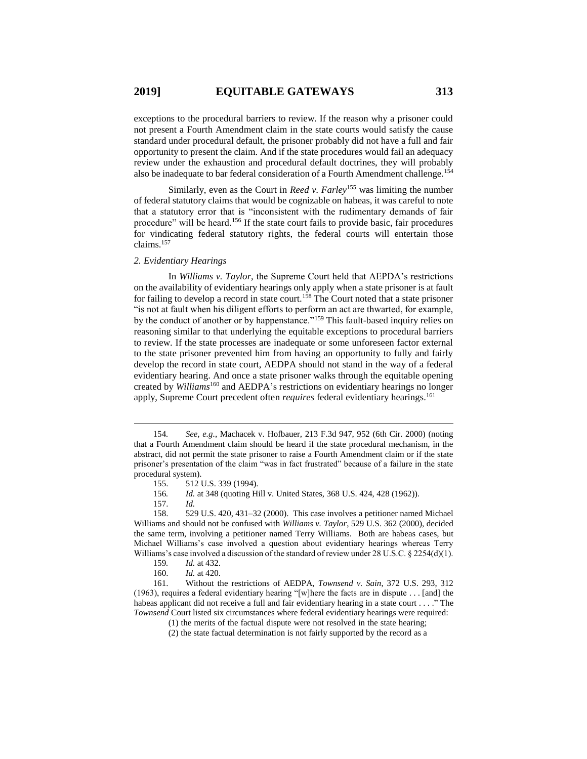exceptions to the procedural barriers to review. If the reason why a prisoner could not present a Fourth Amendment claim in the state courts would satisfy the cause standard under procedural default, the prisoner probably did not have a full and fair opportunity to present the claim. And if the state procedures would fail an adequacy review under the exhaustion and procedural default doctrines, they will probably also be inadequate to bar federal consideration of a Fourth Amendment challenge.<sup>154</sup>

Similarly, even as the Court in *Reed v. Farley*<sup>155</sup> was limiting the number of federal statutory claims that would be cognizable on habeas, it was careful to note that a statutory error that is "inconsistent with the rudimentary demands of fair procedure" will be heard.<sup>156</sup> If the state court fails to provide basic, fair procedures for vindicating federal statutory rights, the federal courts will entertain those claims.<sup>157</sup>

#### *2. Evidentiary Hearings*

In *Williams v. Taylor*, the Supreme Court held that AEPDA's restrictions on the availability of evidentiary hearings only apply when a state prisoner is at fault for failing to develop a record in state court.<sup>158</sup> The Court noted that a state prisoner "is not at fault when his diligent efforts to perform an act are thwarted, for example, by the conduct of another or by happenstance."<sup>159</sup> This fault-based inquiry relies on reasoning similar to that underlying the equitable exceptions to procedural barriers to review. If the state processes are inadequate or some unforeseen factor external to the state prisoner prevented him from having an opportunity to fully and fairly develop the record in state court, AEDPA should not stand in the way of a federal evidentiary hearing. And once a state prisoner walks through the equitable opening created by *Williams*<sup>160</sup> and AEDPA's restrictions on evidentiary hearings no longer apply, Supreme Court precedent often *requires* federal evidentiary hearings.<sup>161</sup>

<sup>154</sup>*. See, e.g.*, Machacek v. Hofbauer, 213 F.3d 947, 952 (6th Cir. 2000) (noting that a Fourth Amendment claim should be heard if the state procedural mechanism, in the abstract, did not permit the state prisoner to raise a Fourth Amendment claim or if the state prisoner's presentation of the claim "was in fact frustrated" because of a failure in the state procedural system).

<sup>155.</sup> 512 U.S. 339 (1994).

<sup>156</sup>*. Id.* at 348 (quoting Hill v. United States, 368 U.S. 424, 428 (1962)).

<sup>157.</sup> *Id.*

<sup>158.</sup> 529 U.S. 420, 431–32 (2000). This case involves a petitioner named Michael Williams and should not be confused with *Williams v. Taylor*, 529 U.S. 362 (2000), decided the same term, involving a petitioner named Terry Williams. Both are habeas cases, but Michael Williams's case involved a question about evidentiary hearings whereas Terry Williams's case involved a discussion of the standard of review under 28 U.S.C. § 2254(d)(1).

<sup>159</sup>*. Id.* at 432.

<sup>160.</sup> *Id.* at 420.

<sup>161.</sup> Without the restrictions of AEDPA, *Townsend v. Sain*, 372 U.S. 293, 312 (1963), requires a federal evidentiary hearing "[w]here the facts are in dispute . . . [and] the habeas applicant did not receive a full and fair evidentiary hearing in a state court . . . ." The *Townsend* Court listed six circumstances where federal evidentiary hearings were required:

<sup>(1)</sup> the merits of the factual dispute were not resolved in the state hearing;

<sup>(2)</sup> the state factual determination is not fairly supported by the record as a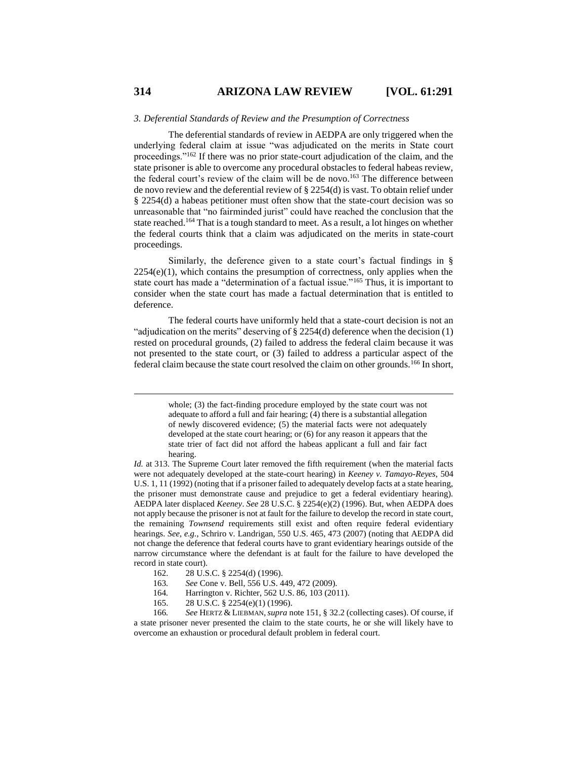#### *3. Deferential Standards of Review and the Presumption of Correctness*

The deferential standards of review in AEDPA are only triggered when the underlying federal claim at issue "was adjudicated on the merits in State court proceedings."<sup>162</sup> If there was no prior state-court adjudication of the claim, and the state prisoner is able to overcome any procedural obstacles to federal habeas review, the federal court's review of the claim will be de novo. <sup>163</sup> The difference between de novo review and the deferential review of § 2254(d) is vast. To obtain relief under § 2254(d) a habeas petitioner must often show that the state-court decision was so unreasonable that "no fairminded jurist" could have reached the conclusion that the state reached.<sup>164</sup> That is a tough standard to meet. As a result, a lot hinges on whether the federal courts think that a claim was adjudicated on the merits in state-court proceedings.

Similarly, the deference given to a state court's factual findings in §  $2254(e)(1)$ , which contains the presumption of correctness, only applies when the state court has made a "determination of a factual issue."<sup>165</sup> Thus, it is important to consider when the state court has made a factual determination that is entitled to deference.

The federal courts have uniformly held that a state-court decision is not an "adjudication on the merits" deserving of § 2254(d) deference when the decision (1) rested on procedural grounds, (2) failed to address the federal claim because it was not presented to the state court, or (3) failed to address a particular aspect of the federal claim because the state court resolved the claim on other grounds.<sup>166</sup> In short,

- 162. 28 U.S.C. § 2254(d) (1996).
- 163*. See* Cone v. Bell, 556 U.S. 449, 472 (2009).
- 164*.* Harrington v. Richter, 562 U.S. 86, 103 (2011).
- 165. 28 U.S.C. § 2254(e)(1) (1996).

whole; (3) the fact-finding procedure employed by the state court was not adequate to afford a full and fair hearing; (4) there is a substantial allegation of newly discovered evidence; (5) the material facts were not adequately developed at the state court hearing; or (6) for any reason it appears that the state trier of fact did not afford the habeas applicant a full and fair fact hearing.

*Id.* at 313. The Supreme Court later removed the fifth requirement (when the material facts were not adequately developed at the state-court hearing) in *Keeney v. Tamayo-Reyes*, 504 U.S. 1, 11 (1992) (noting that if a prisoner failed to adequately develop facts at a state hearing, the prisoner must demonstrate cause and prejudice to get a federal evidentiary hearing). AEDPA later displaced *Keeney*. *See* 28 U.S.C. § 2254(e)(2) (1996). But, when AEDPA does not apply because the prisoner is not at fault for the failure to develop the record in state court, the remaining *Townsend* requirements still exist and often require federal evidentiary hearings. *See, e.g.*, Schriro v. Landrigan, 550 U.S. 465, 473 (2007) (noting that AEDPA did not change the deference that federal courts have to grant evidentiary hearings outside of the narrow circumstance where the defendant is at fault for the failure to have developed the record in state court).

<sup>166</sup>*. See* HERTZ & LIEBMAN,*supra* note 151, § 32.2 (collecting cases). Of course, if a state prisoner never presented the claim to the state courts, he or she will likely have to overcome an exhaustion or procedural default problem in federal court.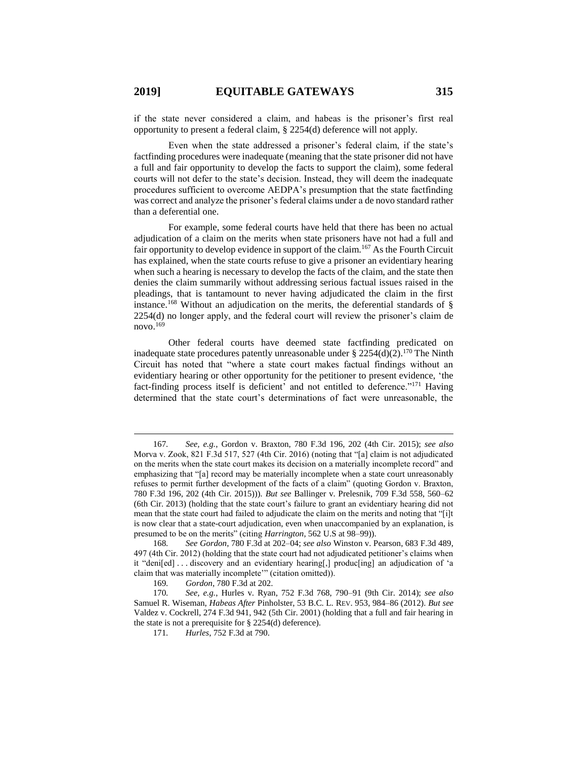if the state never considered a claim, and habeas is the prisoner's first real opportunity to present a federal claim, § 2254(d) deference will not apply.

Even when the state addressed a prisoner's federal claim, if the state's factfinding procedures were inadequate (meaning that the state prisoner did not have a full and fair opportunity to develop the facts to support the claim), some federal courts will not defer to the state's decision. Instead, they will deem the inadequate procedures sufficient to overcome AEDPA's presumption that the state factfinding was correct and analyze the prisoner's federal claims under a de novo standard rather than a deferential one.

For example, some federal courts have held that there has been no actual adjudication of a claim on the merits when state prisoners have not had a full and fair opportunity to develop evidence in support of the claim.<sup>167</sup> As the Fourth Circuit has explained, when the state courts refuse to give a prisoner an evidentiary hearing when such a hearing is necessary to develop the facts of the claim, and the state then denies the claim summarily without addressing serious factual issues raised in the pleadings, that is tantamount to never having adjudicated the claim in the first instance.<sup>168</sup> Without an adjudication on the merits, the deferential standards of  $\S$ 2254(d) no longer apply, and the federal court will review the prisoner's claim de novo. 169

<span id="page-24-0"></span>Other federal courts have deemed state factfinding predicated on inadequate state procedures patently unreasonable under § 2254(d)(2).<sup>170</sup> The Ninth Circuit has noted that "where a state court makes factual findings without an evidentiary hearing or other opportunity for the petitioner to present evidence, 'the fact-finding process itself is deficient' and not entitled to deference."<sup>171</sup> Having determined that the state court's determinations of fact were unreasonable, the

<sup>167</sup>*. See, e.g.*, Gordon v. Braxton, 780 F.3d 196, 202 (4th Cir. 2015); *see also*  Morva v. Zook, 821 F.3d 517, 527 (4th Cir. 2016) (noting that "[a] claim is not adjudicated on the merits when the state court makes its decision on a materially incomplete record" and emphasizing that "[a] record may be materially incomplete when a state court unreasonably refuses to permit further development of the facts of a claim" (quoting Gordon v. Braxton, 780 F.3d 196, 202 (4th Cir. 2015))). *But see* Ballinger v. Prelesnik, 709 F.3d 558, 560–62 (6th Cir. 2013) (holding that the state court's failure to grant an evidentiary hearing did not mean that the state court had failed to adjudicate the claim on the merits and noting that "[i]t is now clear that a state-court adjudication, even when unaccompanied by an explanation, is presumed to be on the merits" (citing *Harrington*, 562 U.S at 98–99)).

<sup>168</sup>*. See Gordon*, 780 F.3d at 202–04; *see also* Winston v. Pearson, 683 F.3d 489, 497 (4th Cir. 2012) (holding that the state court had not adjudicated petitioner's claims when it "deni[ed] . . . discovery and an evidentiary hearing[,] produc[ing] an adjudication of 'a claim that was materially incomplete'" (citation omitted)).

<sup>169</sup>*. Gordon*, 780 F.3d at 202.

<sup>170</sup>*. See, e.g.*, Hurles v. Ryan, 752 F.3d 768, 790–91 (9th Cir. 2014); *see also* Samuel R. Wiseman, *Habeas After* Pinholster, 53 B.C. L. REV. 953, 984–86 (2012). *But see*  Valdez v. Cockrell, 274 F.3d 941, 942 (5th Cir. 2001) (holding that a full and fair hearing in the state is not a prerequisite for § 2254(d) deference).

<sup>171</sup>*. Hurles*, 752 F.3d at 790.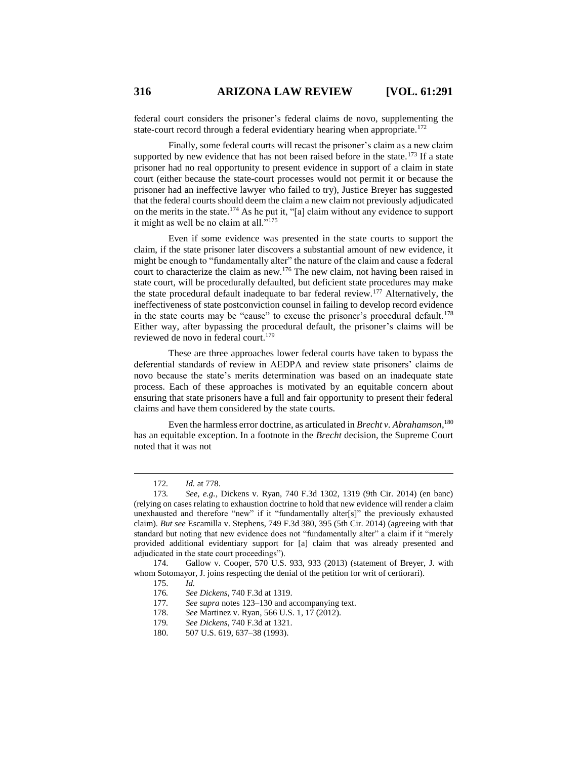federal court considers the prisoner's federal claims de novo, supplementing the state-court record through a federal evidentiary hearing when appropriate.<sup>172</sup>

Finally, some federal courts will recast the prisoner's claim as a new claim supported by new evidence that has not been raised before in the state.<sup>173</sup> If a state prisoner had no real opportunity to present evidence in support of a claim in state court (either because the state-court processes would not permit it or because the prisoner had an ineffective lawyer who failed to try), Justice Breyer has suggested that the federal courts should deem the claim a new claim not previously adjudicated on the merits in the state.<sup>174</sup> As he put it, "[a] claim without any evidence to support it might as well be no claim at all."<sup>175</sup>

<span id="page-25-0"></span>Even if some evidence was presented in the state courts to support the claim, if the state prisoner later discovers a substantial amount of new evidence, it might be enough to "fundamentally alter" the nature of the claim and cause a federal court to characterize the claim as new.<sup>176</sup> The new claim, not having been raised in state court, will be procedurally defaulted, but deficient state procedures may make the state procedural default inadequate to bar federal review.<sup>177</sup> Alternatively, the ineffectiveness of state postconviction counsel in failing to develop record evidence in the state courts may be "cause" to excuse the prisoner's procedural default.<sup>178</sup> Either way, after bypassing the procedural default, the prisoner's claims will be reviewed de novo in federal court. 179

These are three approaches lower federal courts have taken to bypass the deferential standards of review in AEDPA and review state prisoners' claims de novo because the state's merits determination was based on an inadequate state process. Each of these approaches is motivated by an equitable concern about ensuring that state prisoners have a full and fair opportunity to present their federal claims and have them considered by the state courts.

Even the harmless error doctrine, as articulated in *Brecht v. Abrahamson*, 180 has an equitable exception. In a footnote in the *Brecht* decision, the Supreme Court noted that it was not

 $\overline{a}$ 

174. Gallow v. Cooper, 570 U.S. 933, 933 (2013) (statement of Breyer, J. with whom Sotomayor, J. joins respecting the denial of the petition for writ of certiorari).

<sup>172</sup>*. Id.* at 778.

<sup>173</sup>*. See, e.g.*, Dickens v. Ryan, 740 F.3d 1302, 1319 (9th Cir. 2014) (en banc) (relying on cases relating to exhaustion doctrine to hold that new evidence will render a claim unexhausted and therefore "new" if it "fundamentally alter[s]" the previously exhausted claim). *But see* Escamilla v. Stephens, 749 F.3d 380, 395 (5th Cir. 2014) (agreeing with that standard but noting that new evidence does not "fundamentally alter" a claim if it "merely provided additional evidentiary support for [a] claim that was already presented and adjudicated in the state court proceedings").

<sup>175.</sup> *Id.*

<sup>176</sup>*. See Dickens*, 740 F.3d at 1319.

<sup>177</sup>*. See supra* note[s 123](#page-18-0)[–130](#page-18-1) and accompanying text.

<sup>178.</sup> *See* Martinez v. Ryan, 566 U.S. 1, 17 (2012).

<sup>179</sup>*. See Dickens*, 740 F.3d at 1321.

<sup>180.</sup> 507 U.S. 619, 637–38 (1993).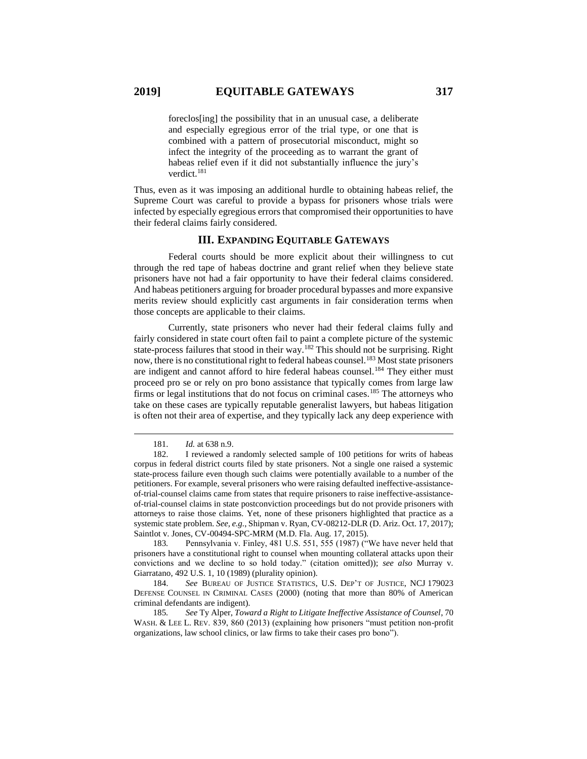foreclos[ing] the possibility that in an unusual case, a deliberate and especially egregious error of the trial type, or one that is combined with a pattern of prosecutorial misconduct, might so infect the integrity of the proceeding as to warrant the grant of habeas relief even if it did not substantially influence the jury's verdict.<sup>181</sup>

Thus, even as it was imposing an additional hurdle to obtaining habeas relief, the Supreme Court was careful to provide a bypass for prisoners whose trials were infected by especially egregious errors that compromised their opportunities to have their federal claims fairly considered.

## <span id="page-26-0"></span>**III. EXPANDING EQUITABLE GATEWAYS**

Federal courts should be more explicit about their willingness to cut through the red tape of habeas doctrine and grant relief when they believe state prisoners have not had a fair opportunity to have their federal claims considered. And habeas petitioners arguing for broader procedural bypasses and more expansive merits review should explicitly cast arguments in fair consideration terms when those concepts are applicable to their claims.

Currently, state prisoners who never had their federal claims fully and fairly considered in state court often fail to paint a complete picture of the systemic state-process failures that stood in their way.<sup>182</sup> This should not be surprising. Right now, there is no constitutional right to federal habeas counsel.<sup>183</sup> Most state prisoners are indigent and cannot afford to hire federal habeas counsel.<sup>184</sup> They either must proceed pro se or rely on pro bono assistance that typically comes from large law firms or legal institutions that do not focus on criminal cases.<sup>185</sup> The attorneys who take on these cases are typically reputable generalist lawyers, but habeas litigation is often not their area of expertise, and they typically lack any deep experience with

 $\overline{a}$ 

183*.* Pennsylvania v. Finley, 481 U.S. 551, 555 (1987) ("We have never held that prisoners have a constitutional right to counsel when mounting collateral attacks upon their convictions and we decline to so hold today." (citation omitted)); *see also* Murray v. Giarratano, 492 U.S. 1, 10 (1989) (plurality opinion).

184. *See* BUREAU OF JUSTICE STATISTICS, U.S. DEP'T OF JUSTICE, NCJ 179023 DEFENSE COUNSEL IN CRIMINAL CASES (2000) (noting that more than 80% of American criminal defendants are indigent).

185*. See* Ty Alper, *Toward a Right to Litigate Ineffective Assistance of Counsel*, 70 WASH. & LEE L. REV. 839, 860 (2013) (explaining how prisoners "must petition non-profit organizations, law school clinics, or law firms to take their cases pro bono").

<span id="page-26-1"></span><sup>181.</sup> *Id.* at 638 n.9.

<sup>182.</sup> I reviewed a randomly selected sample of 100 petitions for writs of habeas corpus in federal district courts filed by state prisoners. Not a single one raised a systemic state-process failure even though such claims were potentially available to a number of the petitioners. For example, several prisoners who were raising defaulted ineffective-assistanceof-trial-counsel claims came from states that require prisoners to raise ineffective-assistanceof-trial-counsel claims in state postconviction proceedings but do not provide prisoners with attorneys to raise those claims. Yet, none of these prisoners highlighted that practice as a systemic state problem. *See, e.g.*, Shipman v. Ryan, CV-08212-DLR (D. Ariz. Oct. 17, 2017); Saintlot v. Jones, CV-00494-SPC-MRM (M.D. Fla. Aug. 17, 2015).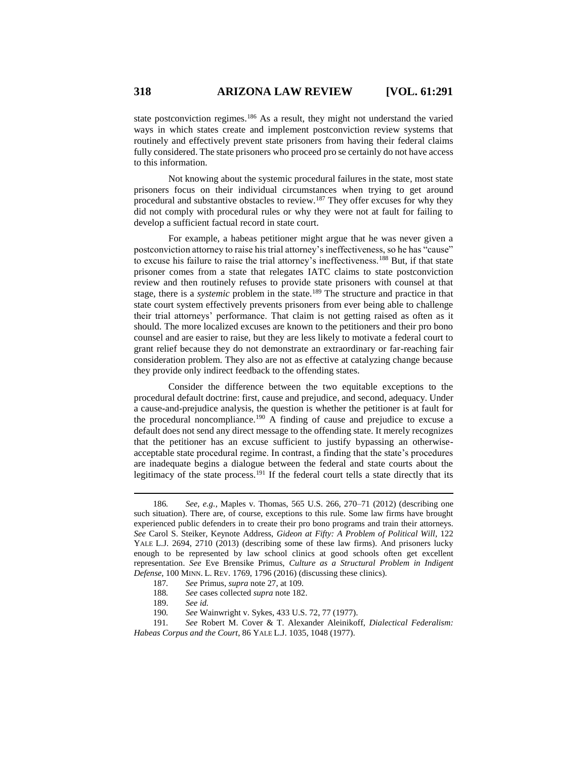state postconviction regimes.<sup>186</sup> As a result, they might not understand the varied ways in which states create and implement postconviction review systems that routinely and effectively prevent state prisoners from having their federal claims fully considered. The state prisoners who proceed pro se certainly do not have access to this information.

Not knowing about the systemic procedural failures in the state, most state prisoners focus on their individual circumstances when trying to get around procedural and substantive obstacles to review.<sup>187</sup> They offer excuses for why they did not comply with procedural rules or why they were not at fault for failing to develop a sufficient factual record in state court.

For example, a habeas petitioner might argue that he was never given a postconviction attorney to raise his trial attorney's ineffectiveness, so he has "cause" to excuse his failure to raise the trial attorney's ineffectiveness.<sup>188</sup> But, if that state prisoner comes from a state that relegates IATC claims to state postconviction review and then routinely refuses to provide state prisoners with counsel at that stage, there is a *systemic* problem in the state.<sup>189</sup> The structure and practice in that state court system effectively prevents prisoners from ever being able to challenge their trial attorneys' performance. That claim is not getting raised as often as it should. The more localized excuses are known to the petitioners and their pro bono counsel and are easier to raise, but they are less likely to motivate a federal court to grant relief because they do not demonstrate an extraordinary or far-reaching fair consideration problem. They also are not as effective at catalyzing change because they provide only indirect feedback to the offending states.

Consider the difference between the two equitable exceptions to the procedural default doctrine: first, cause and prejudice, and second, adequacy. Under a cause-and-prejudice analysis, the question is whether the petitioner is at fault for the procedural noncompliance.<sup>190</sup> A finding of cause and prejudice to excuse a default does not send any direct message to the offending state. It merely recognizes that the petitioner has an excuse sufficient to justify bypassing an otherwiseacceptable state procedural regime. In contrast, a finding that the state's procedures are inadequate begins a dialogue between the federal and state courts about the legitimacy of the state process.<sup>191</sup> If the federal court tells a state directly that its

<span id="page-27-0"></span><sup>186</sup>*. See, e.g.*, Maples v. Thomas, 565 U.S. 266, 270–71 (2012) (describing one such situation). There are, of course, exceptions to this rule. Some law firms have brought experienced public defenders in to create their pro bono programs and train their attorneys. *See* Carol S. Steiker, Keynote Address, *Gideon at Fifty: A Problem of Political Will*, 122 YALE L.J. 2694, 2710 (2013) (describing some of these law firms). And prisoners lucky enough to be represented by law school clinics at good schools often get excellent representation. *See* Eve Brensike Primus, *Culture as a Structural Problem in Indigent Defense*, 100 MINN. L. REV. 1769, 1796 (2016) (discussing these clinics).

<sup>187</sup>*. See* Primus, *supra* note [27,](#page-5-0) at 109.

<sup>188</sup>*. See* cases collected *supra* note [182.](#page-26-0)

<sup>189.</sup> *See id.*

<sup>190</sup>*. See* Wainwright v. Sykes, 433 U.S. 72, 77 (1977).

<sup>191</sup>*. See* Robert M. Cover & T. Alexander Aleinikoff, *Dialectical Federalism: Habeas Corpus and the Court*, 86 YALE L.J. 1035, 1048 (1977).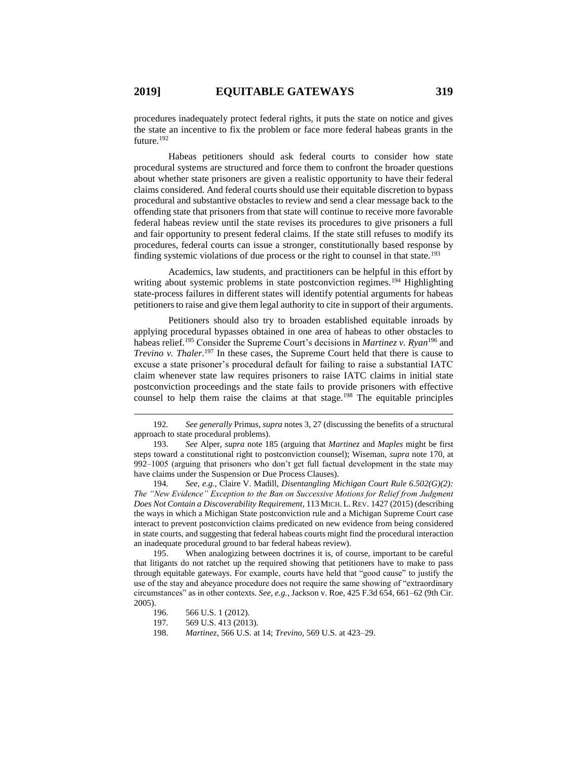procedures inadequately protect federal rights, it puts the state on notice and gives the state an incentive to fix the problem or face more federal habeas grants in the future.<sup>192</sup>

Habeas petitioners should ask federal courts to consider how state procedural systems are structured and force them to confront the broader questions about whether state prisoners are given a realistic opportunity to have their federal claims considered. And federal courts should use their equitable discretion to bypass procedural and substantive obstacles to review and send a clear message back to the offending state that prisoners from that state will continue to receive more favorable federal habeas review until the state revises its procedures to give prisoners a full and fair opportunity to present federal claims. If the state still refuses to modify its procedures, federal courts can issue a stronger, constitutionally based response by finding systemic violations of due process or the right to counsel in that state.<sup>193</sup>

Academics, law students, and practitioners can be helpful in this effort by writing about systemic problems in state postconviction regimes.<sup>194</sup> Highlighting state-process failures in different states will identify potential arguments for habeas petitioners to raise and give them legal authority to cite in support of their arguments.

Petitioners should also try to broaden established equitable inroads by applying procedural bypasses obtained in one area of habeas to other obstacles to habeas relief.<sup>195</sup> Consider the Supreme Court's decisions in *Martinez v. Ryan*<sup>196</sup> and *Trevino v. Thaler.*<sup>197</sup> In these cases, the Supreme Court held that there is cause to excuse a state prisoner's procedural default for failing to raise a substantial IATC claim whenever state law requires prisoners to raise IATC claims in initial state postconviction proceedings and the state fails to provide prisoners with effective counsel to help them raise the claims at that stage.<sup>198</sup> The equitable principles

194*. See, e.g.*, Claire V. Madill, *Disentangling Michigan Court Rule 6.502(G)(2): The "New Evidence" Exception to the Ban on Successive Motions for Relief from Judgment Does Not Contain a Discoverability Requirement*, 113 MICH. L.REV. 1427 (2015) (describing the ways in which a Michigan State postconviction rule and a Michigan Supreme Court case interact to prevent postconviction claims predicated on new evidence from being considered in state courts, and suggesting that federal habeas courts might find the procedural interaction an inadequate procedural ground to bar federal habeas review).

195. When analogizing between doctrines it is, of course, important to be careful that litigants do not ratchet up the required showing that petitioners have to make to pass through equitable gateways. For example, courts have held that "good cause" to justify the use of the stay and abeyance procedure does not require the same showing of "extraordinary circumstances" as in other contexts. *See, e.g.*, Jackson v. Roe, 425 F.3d 654, 661–62 (9th Cir. 2005).

<sup>192</sup>*. See generally* Primus, *supra* note[s 3,](#page-1-0) [27](#page-5-0) (discussing the benefits of a structural approach to state procedural problems).

<sup>193</sup>*. See* Alper, *supra* note [185](#page-26-1) (arguing that *Martinez* and *Maples* might be first steps toward a constitutional right to postconviction counsel); Wiseman, *supra* note [170,](#page-24-0) at 992–1005 (arguing that prisoners who don't get full factual development in the state may have claims under the Suspension or Due Process Clauses).

<sup>196.</sup> 566 U.S. 1 (2012).

<sup>197.</sup> 569 U.S. 413 (2013).

<sup>198.</sup> *Martinez*, 566 U.S. at 14; *Trevino*, 569 U.S. at 423–29.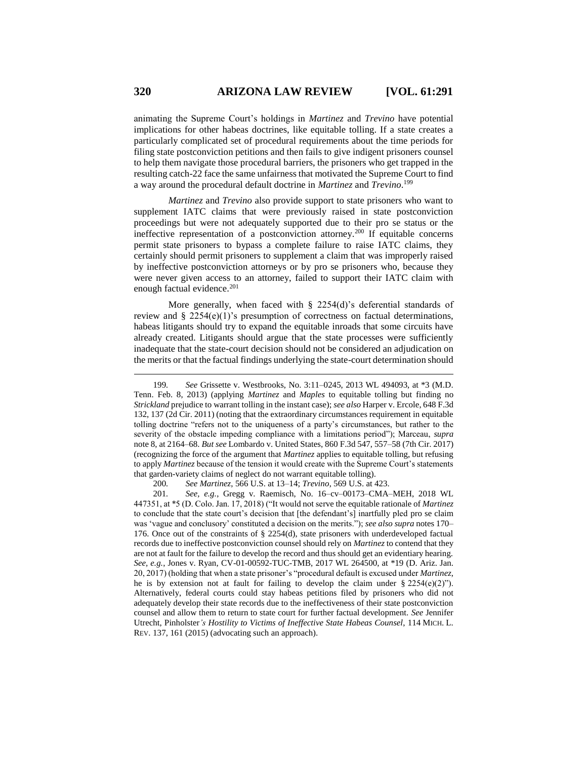animating the Supreme Court's holdings in *Martinez* and *Trevino* have potential implications for other habeas doctrines, like equitable tolling. If a state creates a particularly complicated set of procedural requirements about the time periods for filing state postconviction petitions and then fails to give indigent prisoners counsel to help them navigate those procedural barriers, the prisoners who get trapped in the resulting catch-22 face the same unfairness that motivated the Supreme Court to find a way around the procedural default doctrine in *Martinez* and *Trevino*. 199

*Martinez* and *Trevino* also provide support to state prisoners who want to supplement IATC claims that were previously raised in state postconviction proceedings but were not adequately supported due to their pro se status or the ineffective representation of a postconviction attorney.<sup>200</sup> If equitable concerns permit state prisoners to bypass a complete failure to raise IATC claims, they certainly should permit prisoners to supplement a claim that was improperly raised by ineffective postconviction attorneys or by pro se prisoners who, because they were never given access to an attorney, failed to support their IATC claim with enough factual evidence.<sup>201</sup>

More generally, when faced with § 2254(d)'s deferential standards of review and § 2254(e)(1)'s presumption of correctness on factual determinations, habeas litigants should try to expand the equitable inroads that some circuits have already created. Litigants should argue that the state processes were sufficiently inadequate that the state-court decision should not be considered an adjudication on the merits or that the factual findings underlying the state-court determination should

200*. See Martinez*, 566 U.S. at 13–14; *Trevino*, 569 U.S. at 423.

201*. See, e.g.*, Gregg v. Raemisch, No. 16–cv–00173–CMA–MEH, 2018 WL 447351, at \*5 (D. Colo. Jan. 17, 2018) ("It would not serve the equitable rationale of *Martinez*  to conclude that the state court's decision that [the defendant's] inartfully pled pro se claim was 'vague and conclusory' constituted a decision on the merits."); *see also supra* note[s 170–](#page-24-0) [176.](#page-25-0) Once out of the constraints of § 2254(d), state prisoners with underdeveloped factual records due to ineffective postconviction counsel should rely on *Martinez* to contend that they are not at fault for the failure to develop the record and thus should get an evidentiary hearing. *See, e.g.*, Jones v. Ryan, CV-01-00592-TUC-TMB, 2017 WL 264500, at \*19 (D. Ariz. Jan. 20, 2017) (holding that when a state prisoner's "procedural default is excused under *Martinez*, he is by extension not at fault for failing to develop the claim under  $\S$  2254(e)(2)"). Alternatively, federal courts could stay habeas petitions filed by prisoners who did not adequately develop their state records due to the ineffectiveness of their state postconviction counsel and allow them to return to state court for further factual development. *See* Jennifer Utrecht, Pinholster*'s Hostility to Victims of Ineffective State Habeas Counsel*, 114 MICH. L. REV. 137, 161 (2015) (advocating such an approach).

<sup>199</sup>*. See* Grissette v. Westbrooks, No. 3:11–0245, 2013 WL 494093, at \*3 (M.D. Tenn. Feb. 8, 2013) (applying *Martinez* and *Maples* to equitable tolling but finding no *Strickland* prejudice to warrant tolling in the instant case); *see also* Harper v. Ercole, 648 F.3d 132, 137 (2d Cir. 2011) (noting that the extraordinary circumstances requirement in equitable tolling doctrine "refers not to the uniqueness of a party's circumstances, but rather to the severity of the obstacle impeding compliance with a limitations period"); Marceau, *supra*  not[e 8,](#page-2-1) at 2164–68. *But see* Lombardo v. United States, 860 F.3d 547, 557–58 (7th Cir. 2017) (recognizing the force of the argument that *Martinez* applies to equitable tolling, but refusing to apply *Martinez* because of the tension it would create with the Supreme Court's statements that garden-variety claims of neglect do not warrant equitable tolling).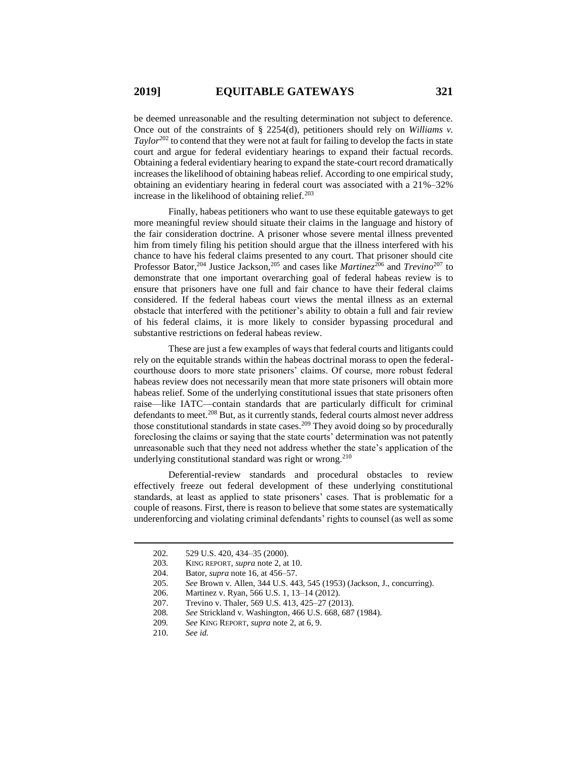be deemed unreasonable and the resulting determination not subject to deference. Once out of the constraints of § 2254(d), petitioners should rely on *Williams v. Taylor*<sup>202</sup> to contend that they were not at fault for failing to develop the facts in state court and argue for federal evidentiary hearings to expand their factual records. Obtaining a federal evidentiary hearing to expand the state-court record dramatically increases the likelihood of obtaining habeas relief. According to one empirical study, obtaining an evidentiary hearing in federal court was associated with a 21%–32% increase in the likelihood of obtaining relief.<sup>203</sup>

Finally, habeas petitioners who want to use these equitable gateways to get more meaningful review should situate their claims in the language and history of the fair consideration doctrine. A prisoner whose severe mental illness prevented him from timely filing his petition should argue that the illness interfered with his chance to have his federal claims presented to any court. That prisoner should cite Professor Bator, <sup>204</sup> Justice Jackson, <sup>205</sup> and cases like *Martinez*<sup>206</sup> and *Trevino*<sup>207</sup> to demonstrate that one important overarching goal of federal habeas review is to ensure that prisoners have one full and fair chance to have their federal claims considered. If the federal habeas court views the mental illness as an external obstacle that interfered with the petitioner's ability to obtain a full and fair review of his federal claims, it is more likely to consider bypassing procedural and substantive restrictions on federal habeas review.

These are just a few examples of ways that federal courts and litigants could rely on the equitable strands within the habeas doctrinal morass to open the federalcourthouse doors to more state prisoners' claims. Of course, more robust federal habeas review does not necessarily mean that more state prisoners will obtain more habeas relief. Some of the underlying constitutional issues that state prisoners often raise—like IATC—contain standards that are particularly difficult for criminal defendants to meet.<sup>208</sup> But, as it currently stands, federal courts almost never address those constitutional standards in state cases.<sup>209</sup> They avoid doing so by procedurally foreclosing the claims or saying that the state courts' determination was not patently unreasonable such that they need not address whether the state's application of the underlying constitutional standard was right or wrong.<sup>210</sup>

Deferential-review standards and procedural obstacles to review effectively freeze out federal development of these underlying constitutional standards, at least as applied to state prisoners' cases. That is problematic for a couple of reasons. First, there is reason to believe that some states are systematically underenforcing and violating criminal defendants' rights to counsel (as well as some

<sup>202</sup>*.* 529 U.S. 420, 434–35 (2000).

<sup>203</sup>*.* KING REPORT, *supra* note 2, at 10.

<sup>204.</sup> Bator, *supra* not[e 16,](#page-3-0) at 456–57.

<sup>205.</sup> *See* Brown v. Allen, 344 U.S. 443, 545 (1953) (Jackson, J., concurring).

<sup>206.</sup> Martinez v. Ryan, 566 U.S. 1, 13–14 (2012).

<sup>207.</sup> Trevino v. Thaler, 569 U.S. 413, 425–27 (2013).

<sup>208</sup>*. See* Strickland v. Washington, 466 U.S. 668, 687 (1984).

<sup>209</sup>*. See* KING REPORT, *supra* not[e 2,](#page-1-1) at 6, 9.

<sup>210.</sup> *See id.*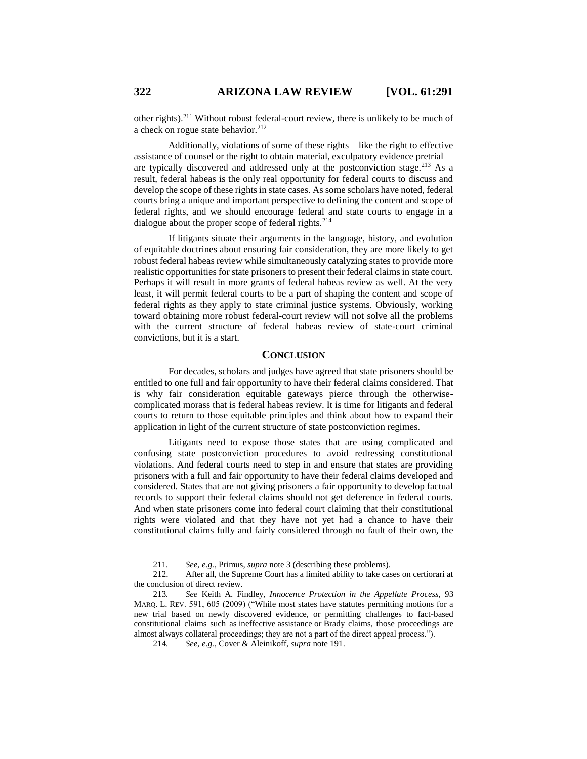other rights).<sup>211</sup> Without robust federal-court review, there is unlikely to be much of a check on rogue state behavior.<sup>212</sup>

Additionally, violations of some of these rights—like the right to effective assistance of counsel or the right to obtain material, exculpatory evidence pretrial are typically discovered and addressed only at the postconviction stage.<sup>213</sup> As a result, federal habeas is the only real opportunity for federal courts to discuss and develop the scope of these rights in state cases. As some scholars have noted, federal courts bring a unique and important perspective to defining the content and scope of federal rights, and we should encourage federal and state courts to engage in a dialogue about the proper scope of federal rights.<sup>214</sup>

If litigants situate their arguments in the language, history, and evolution of equitable doctrines about ensuring fair consideration, they are more likely to get robust federal habeas review while simultaneously catalyzing states to provide more realistic opportunities for state prisoners to present their federal claims in state court. Perhaps it will result in more grants of federal habeas review as well. At the very least, it will permit federal courts to be a part of shaping the content and scope of federal rights as they apply to state criminal justice systems. Obviously, working toward obtaining more robust federal-court review will not solve all the problems with the current structure of federal habeas review of state-court criminal convictions, but it is a start.

## **CONCLUSION**

For decades, scholars and judges have agreed that state prisoners should be entitled to one full and fair opportunity to have their federal claims considered. That is why fair consideration equitable gateways pierce through the otherwisecomplicated morass that is federal habeas review. It is time for litigants and federal courts to return to those equitable principles and think about how to expand their application in light of the current structure of state postconviction regimes.

Litigants need to expose those states that are using complicated and confusing state postconviction procedures to avoid redressing constitutional violations. And federal courts need to step in and ensure that states are providing prisoners with a full and fair opportunity to have their federal claims developed and considered. States that are not giving prisoners a fair opportunity to develop factual records to support their federal claims should not get deference in federal courts. And when state prisoners come into federal court claiming that their constitutional rights were violated and that they have not yet had a chance to have their constitutional claims fully and fairly considered through no fault of their own, the

<sup>211</sup>*. See, e.g.*, Primus, *supra* not[e 3](#page-1-0) (describing these problems).

<sup>212.</sup> After all, the Supreme Court has a limited ability to take cases on certiorari at the conclusion of direct review.

<sup>213</sup>*. See* Keith A. Findley, *Innocence Protection in the Appellate Process*, 93 MARQ. L. REV. 591, 605 (2009) ("While most states have statutes permitting motions for a new trial based on newly discovered evidence, or permitting challenges to fact-based constitutional claims such as ineffective assistance or Brady claims, those proceedings are almost always collateral proceedings; they are not a part of the direct appeal process.").

<sup>214</sup>*. See, e.g.*, Cover & Aleinikoff, *supra* not[e 191.](#page-27-0)